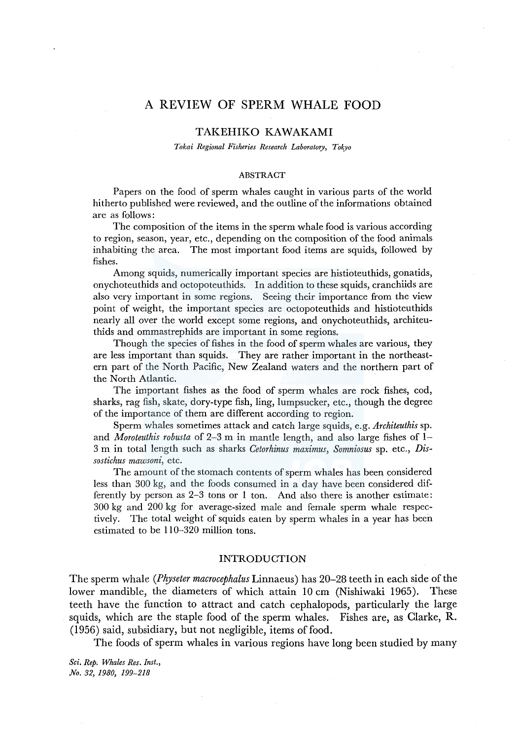# A REVIEW OF SPERM WHALE FOOD

# TAKEHIKO KAWAKAMI

*Tokai Regional Fisheries Research Laboratory, Tokyo* 

#### ABSTRACT

Papers on the food of sperm whales caught in various parts of the world hitherto published were reviewed, and the outline of the informations obtained are as follows:

The composition of the items in the sperm whale food is various according to region, season, year, etc., depending on the composition of the food animals inhabiting the area. The most important food items are squids, followed by fishes.

Among squids, numerically important species are histioteuthids, gonatids, onychoteuthids and octopoteuthids. In addition to these squids, cranchiids are also very important in some regions. Seeing their importance from the view point of weight, the important species are octopoteuthids and histioteuthids nearly all over the world except some regions, and onychoteuthids, architeuthids and ommastrephids are important in some regions.

Though the species of fishes in the food of sperm whales are various, they are less important than squids. They are rather important in the northeastern part of the North Pacific, New Zealand waters and the northern part of the North Atlantic.

The important fishes as the food of sperm whales are rock fishes, cod, sharks, rag fish, skate, dory-type fish, ling, lumpsucker, etc., though the degree of the importance of them are different according to region.

Sperm whales sometimes attack and catch large squids, e.g. *Architeuthis* sp. and *Moroteuthis robusta* of 2-3 m in mantle length, and also large fishes of 1- 3 m in total length such as sharks *Cetorhinus maximus, Somniosus* sp. etc., *Dissostichus mawsoni,* etc.

The amount of the stomach contents of sperm whales has been considered less than 300 kg, and the foods consumed in a day have been considered differently by person as 2-3 tons or 1 ton. And also there is another estimate: 300 kg and 200 kg for average-sized male and female sperm whale respectively. The total weight of squids eaten by sperm whales in a year has been estimated to be 110-320 million tons.

#### INTRODUCTION

The sperm whale *(Physeter macrocephalus* Linnaeus) has 20-28 teeth in each side of the lower mandible, the diameters of which attain 10 cm (Nishiwaki 1965). These teeth have the function to attract and catch cephalopods, particularly the large squids, which are the staple food of the sperm whales. Fishes are, as Clarke, R. (1956) said, subsidiary, but not negligible, items of food.

The foods of sperm whales in various regions have long been studied by many

*Sci. Rep. Whales Res. Inst., No. 32, 1980, 199-218*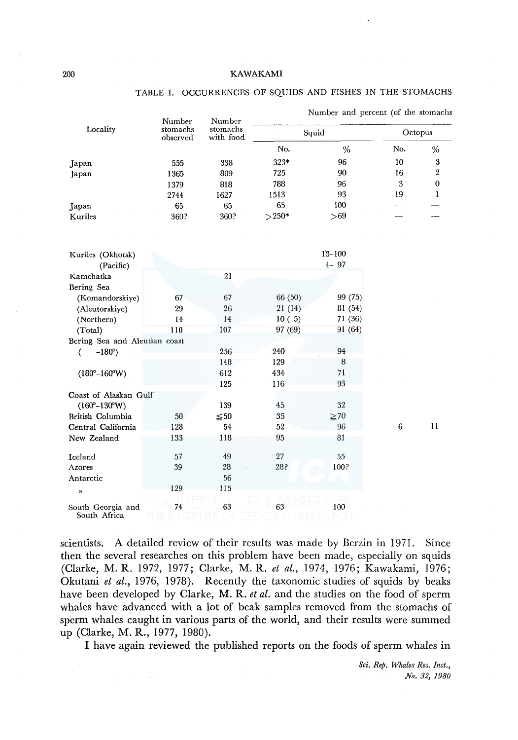|                                   | Number               | Number                | Number and percent (of the stomachs |            |         |          |  |  |  |  |  |  |
|-----------------------------------|----------------------|-----------------------|-------------------------------------|------------|---------|----------|--|--|--|--|--|--|
| Locality                          | stomachs<br>observed | stomachs<br>with food |                                     | Squid      | Octopus |          |  |  |  |  |  |  |
|                                   |                      |                       | No.                                 | $\%$       | No.     | $\%$     |  |  |  |  |  |  |
| Japan                             | 555                  | 338                   | 323*                                | 96         | 10      | 3        |  |  |  |  |  |  |
| Japan                             | 1365                 | 809                   | 725                                 | 90         | 16      | $\,2\,$  |  |  |  |  |  |  |
|                                   | 1379                 | 818                   | 788                                 | 96         | 3       | $\bf{0}$ |  |  |  |  |  |  |
|                                   | 2744                 | 1627                  | 1513                                | 93         | 19      | 1        |  |  |  |  |  |  |
| Japan                             | 65                   | 65                    | 65                                  | 100        |         |          |  |  |  |  |  |  |
| Kuriles                           | 360?                 | 360?                  | $>250*$                             | > 69       |         |          |  |  |  |  |  |  |
| Kuriles (Okhotsk)                 |                      |                       |                                     | $13 - 100$ |         |          |  |  |  |  |  |  |
| (Pacific)                         |                      |                       |                                     | $4 - 97$   |         |          |  |  |  |  |  |  |
| Kamchatka                         |                      | 21                    |                                     |            |         |          |  |  |  |  |  |  |
| Bering Sea                        |                      |                       |                                     |            |         |          |  |  |  |  |  |  |
| (Komandorskiye)                   | 67                   | 67                    | 66 (50)                             | 99 (75)    |         |          |  |  |  |  |  |  |
| (Aleutorskiye)                    | 29                   | 26                    | 21 (14)                             | 81(54)     |         |          |  |  |  |  |  |  |
| (Northern)                        | 14                   | 14                    | 10(5)                               | 71(36)     |         |          |  |  |  |  |  |  |
| (Total)                           | 110                  | 107                   | 97 (69)                             | 91 (64)    |         |          |  |  |  |  |  |  |
| Bering Sea and Aleutian coast     |                      |                       |                                     |            |         |          |  |  |  |  |  |  |
| $-180^{\circ}$ )<br>(             |                      | 256                   | 240                                 | 94         |         |          |  |  |  |  |  |  |
|                                   |                      | 148                   | 129                                 | 8          |         |          |  |  |  |  |  |  |
| $(180^{\circ}-160^{\circ}W)$      |                      | 612                   | 434                                 | 71         |         |          |  |  |  |  |  |  |
|                                   |                      | 125                   | 116                                 | 93         |         |          |  |  |  |  |  |  |
| Coast of Alaskan Gulf             |                      |                       |                                     |            |         |          |  |  |  |  |  |  |
| $(160^{\circ} - 130^{\circ} W)$   |                      | 139                   | 45                                  | 32         |         |          |  |  |  |  |  |  |
| British Columbia                  | 50                   | $\leq 50$             | 35                                  | $\geq 70$  |         |          |  |  |  |  |  |  |
| Central California                | 128                  | 54                    | 52                                  | 96         | 6       | 11       |  |  |  |  |  |  |
| New Zealand                       | 133                  | 118                   | 95                                  | 81         |         |          |  |  |  |  |  |  |
| Iceland                           | 57                   | 49                    | 27                                  | 55         |         |          |  |  |  |  |  |  |
| Azores                            | 39                   | $28\,$                | 28?                                 | 100?       |         |          |  |  |  |  |  |  |
| Antarctic                         |                      | 56                    |                                     |            |         |          |  |  |  |  |  |  |
| ,,                                | 129                  | 115                   |                                     |            |         |          |  |  |  |  |  |  |
|                                   |                      |                       |                                     |            |         |          |  |  |  |  |  |  |
| South Georgia and<br>South Africa | 74                   | 63                    | 63                                  | 100        |         |          |  |  |  |  |  |  |

## TABLE I. OCCURRENCES OF SQUIDS AND FISHES IN THE STOMACHS

scientists. A detailed review of their results was made by Berzin in 1971. Since then the several researches on this problem have been made, especially on squids (Clarke, M. R. 1972, 1977; Clarke, M. R. *et al.,* 1974, 1976; Kawakami, 1976; Okutani *et al.,* 1976, 1978). Recently the taxonomic studies of squids by beaks have been developed by Clarke, M. R. *et al.* and the studies on the food of sperm whales have advanced with a lot of beak samples removed from the stomachs of sperm whales caught in various parts of the world, and their results were summed up (Clarke, M. R., 1977, 1980).

I have again reviewed the published reports on the foods of sperm whales in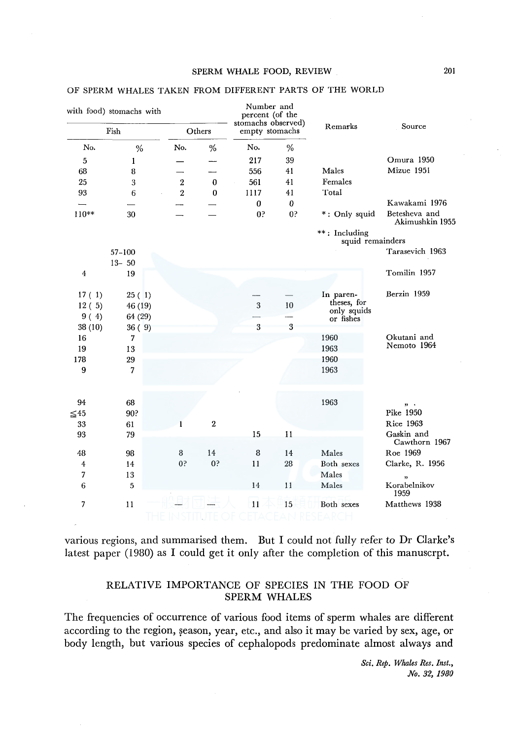## OF SPERM WHALES TAKEN FROM DIFFERENT PARTS OF THE WORLD

| with food) stomachs with |                |                |                | Number and<br>percent (of the<br>stomachs observed) |                | Remarks                           | Source                           |
|--------------------------|----------------|----------------|----------------|-----------------------------------------------------|----------------|-----------------------------------|----------------------------------|
|                          | Fish           |                | Others         | empty stomachs                                      |                |                                   |                                  |
| No.                      | %              | No.            | %              | No.                                                 | %              |                                   |                                  |
| 5                        | 1              |                |                | 217                                                 | 39             |                                   | Omura 1950                       |
| 68                       | 8              |                |                | 556                                                 | 41             | Males                             | Mizue 1951                       |
| 25                       | 3              | $\overline{2}$ | $\bf{0}$       | 561                                                 | 41             | Females                           |                                  |
| 93                       | 6              | $\overline{2}$ | $\bf{0}$       | 1117                                                | 41             | Total                             |                                  |
|                          |                |                |                | 0                                                   | 0              |                                   | Kawakami 1976                    |
| $110**$                  | 30             |                |                | 0 <sup>5</sup>                                      | 0 <sup>5</sup> | *: Only squid                     | Betesheva and<br>Akimushkin 1955 |
|                          |                |                |                |                                                     |                | **: Including<br>squid remainders |                                  |
|                          | $57 - 100$     |                |                |                                                     |                |                                   | Tarasevich 1963                  |
|                          | $13 - 50$      |                |                |                                                     |                |                                   |                                  |
| $\boldsymbol{4}$         | 19             |                |                |                                                     |                |                                   | Tomilin 1957                     |
| 17(1)                    | 25(1)          |                |                |                                                     |                | In paren-                         | Berzin 1959                      |
| 12(5)                    | 46(19)         |                |                | 3                                                   | 10             | theses, for<br>only squids        |                                  |
| 9(4)                     | 64(29)         |                |                |                                                     |                | or fishes                         |                                  |
| 38 (10)                  | 36(9)          |                |                | 3                                                   | 3              |                                   |                                  |
| 16                       | $\overline{7}$ |                |                |                                                     |                | 1960                              | Okutani and                      |
| 19                       | 13             |                |                |                                                     |                | 1963                              | Nemoto 1964                      |
| 178                      | 29             |                |                |                                                     |                | 1960                              |                                  |
| 9                        | 7              |                |                |                                                     |                | 1963                              |                                  |
| 94                       | 68             |                |                |                                                     |                | 1963                              |                                  |
| $≤45$                    | 90?            |                |                |                                                     |                |                                   | $22 - 4$<br>Pike 1950            |
| 33                       | 61             |                | $\overline{2}$ |                                                     |                |                                   | Rice 1963                        |
| 93                       | 79             |                |                | 15                                                  | 11             |                                   | Gaskin and                       |
|                          |                |                |                |                                                     |                |                                   | Cawthorn 1967                    |
| 48                       | 98             | 8              | 14             | 8                                                   | 14             | Males                             | Roe 1969                         |
| 4                        | 14             | 0?             | 0 <sup>5</sup> | 11                                                  | 28             | Both sexes                        | Clarke, R. 1956                  |
| 7                        | 13             |                |                |                                                     |                | Males                             | ,                                |
| 6                        | 5              |                |                | 14                                                  | 11             | Males                             | Korabelnikov<br>1959             |
| 7                        | 11             |                |                | 11                                                  | 15             | Both sexes                        | Matthews 1938                    |
|                          |                |                |                |                                                     |                |                                   |                                  |

various regions, and summarised them. But I could not fully refer to Dr Clarke's latest paper (1980) as I could get it only after the completion of this manuscrpt.

# RELATIVE IMPORTANCE OF SPECIES IN THE FOOD OF SPERM WHALES

The frequencies of occurrence of various food items of sperm whales are different according to the region, season, year, etc., and also it may be varied by sex, age, or body length, but various species of cephalopods predominate almost always and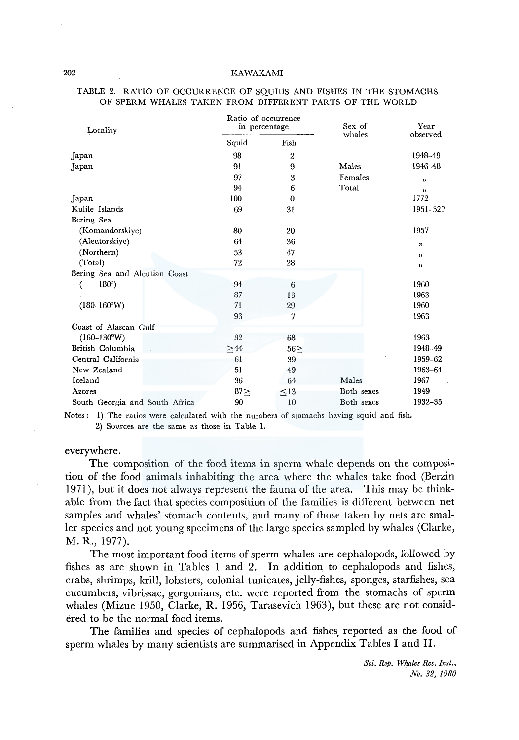| Locality                       |           | Ratio of occurrence<br>in percentage | Sex of<br>whales | Year<br>observed          |
|--------------------------------|-----------|--------------------------------------|------------------|---------------------------|
|                                | Squid     | Fish                                 |                  |                           |
| Japan                          | 98        | 2                                    |                  | 1948-49                   |
| Japan                          | 91        | 9                                    | Males            | 1946-48                   |
|                                | 97        | 3                                    | Females          | ,,                        |
|                                | 94        | 6                                    | Total            | $\boldsymbol{\mathsf{y}}$ |
| Japan                          | 100       | $\bf{0}$                             |                  | 1772                      |
| Kulile Islands                 | 69        | 31                                   |                  | 1951-52?                  |
| Bering Sea                     |           |                                      |                  |                           |
| (Komandorskiye)                | 80        | 20                                   |                  | 1957                      |
| (Aleutorskiye)                 | 64        | 36                                   |                  | ,                         |
| (Northern)                     | 53        | 47                                   |                  | ,,                        |
| (Total)                        | 72        | 28                                   |                  | $\pmb{\mathfrak{z}}$      |
| Bering Sea and Aleutian Coast  |           |                                      |                  |                           |
| $-180^{\circ}$ )<br>(          | 94        | 6                                    |                  | 1960                      |
|                                | 87        | 13                                   |                  | 1963                      |
| $(180-160°W)$                  | 71        | 29                                   |                  | 1960                      |
|                                | 93        | 7                                    |                  | 1963                      |
| Coast of Alascan Gulf          |           |                                      |                  |                           |
| $(160-130°W)$                  | 32        | 68                                   |                  | 1963                      |
| British Columbia               | $\geq 44$ | $56 \geq$                            |                  | 1948-49                   |
| Central California             | 61        | 39                                   |                  | 1959-62                   |
| New Zealand                    | 51        | 49                                   |                  | 1963-64                   |
| Iceland                        | 36        | 64                                   | Males            | 1967                      |
| Azores                         | $87\geq$  | $\leq 13$                            | Both sexes       | 1949                      |
| South Georgia and South Africa | 90        | 10                                   | Both sexes       | 1932-35                   |

#### TABLE 2. RATIO OF OCCURRENCE OF SQUIDS AND FISHES IN THE STOMACHS OF SPERM WHALES TAKEN FROM DIFFERENT PARTS OF THE WORLD

Notes: 1) The ratios were calculated with the numbers of stomachs having squid and fish. 2) Sources are the same as those in Table **l.** 

## everywhere.

The composition of the food items in sperm whale depends on the composition of the food animals inhabiting the area where the whales take food (Berzin 1971), but it does not always represent the fauna of the area. This may be thinkable from the fact that species composition of the families is different between net samples and whales' stomach contents, and many of those taken by nets are smaller species and not young specimens of the large species sampled by whales (Clarke, **M. R.,** 1977).

The most important food items of sperm whales are cephalopods, followed by fishes as are shown in Tables I and 2. In addition to cephalopods and fishes, crabs, shrimps, krill, lobsters, colonial tunicates, jelly-fishes, sponges, starfishes, sea cucumbers, vibrissae, gorgonians, etc. were reported from the stomachs of sperm whales (Mizue 1950, Clarke, **R.** 1956, Tarasevich 1963), but these are not considered to be the normal food items.

The families and species of cephalopods and fishes. reported as the food of sperm whales by many scientists are summarised in Appendix Tables I and **II.**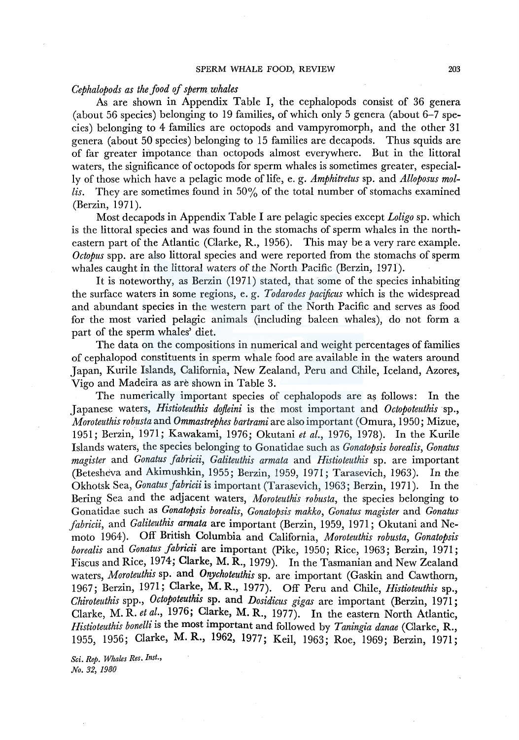## *Cephalopods as the food of sperm whales*

As are shown in Appendix Table I, the cephalopods consist of 36 genera (about 56 species) belonging to 19 families, of which only 5 genera (about 6-7 species) belonging to 4 families are octopods and vampyromorph, and the other 31 genera (about 50 species) belonging to 15 families are decapods. Thus squids are of far greater irhpotance than octopods almost everywhere. But in the littoral waters, the significance of octopods for sperm whales is sometimes greater, especially of those which have a pelagic mode of life, e. g. *Amphitretus* sp. and *Alloposus mollis.* They are sometimes found in 50% of the total number of stomachs examined (Berzin, 1971).

Most decapods in Appendix Table I are pelagic species except *Loligo* sp. which is the littoral species and was found in the stomachs of sperm whales in the northeastern part of the Atlantic (Clarke, R., 1956). This may be a very rare example. *Octopus* spp. are also littoral species and were reported from the stomachs of sperm whales caught in the littoral waters of the North Pacific (Berzin, 1971).

It is noteworthy, as Berzin (1971) stated, that some of the species inhabiting the surface waters in some regions, e. g. *Todarodes pacificus* which is the widespread and abundant species in the western part of the North Pacific and serves as food for the most varied pelagic animals (including baleen whales), do not form a part of the sperm whales' diet.

The data on the compositions in numerical and weight percentages of families of cephalopod constituents in sperm whale food are available in the waters around Japan, Kurile Islands, California, New Zealand, Peru and Chile, Iceland, Azores, Vigo and Madeira as are shown in Table 3.

The numerically important species of cephalopods are as follows: In the Japanese waters, *Histioteuthis dojleini* is the most important and *Octopoteuthis* sp., *Moroteuthis robusta* and *Ommastrephes bartrami* are also important (Omura, 1950; Mizue, 1951; Berzin, 1971; Kawakami, 1976; Okutani *et al.,* 1976, 1978). In the Kurile Islands waters, the species belonging to Gonatidae such as *Gonatopsis borealis, Gonatus magister* and *Gonatus fabricii, Galiteuthis armata* and *Histioteuthis* sp. are important (Beteshe'va and Akimushkin, 1955; Berzin, 1959, 1971; Tarasevich, 1963). In the Okhotsk Sea, *Gonatus fabricii* is important (Tarasevich, 1963; Berzin, 1971 ). In the Bering Sea and the adjacent waters, *Moroteuthis robusta,* the species belonging to Gonatidae such as *Gonatopsis borealis, Gonatopsis makko, Gonatus magister* and *Gonatus fabricii,* and *Galiteuthis armata* are important (Berzin, 1959, 1971; Okutani and Nemoto 1964). Off British Columbia and California, *Moroteuthis robusta, Gonatopsis borealis* and *Gonatus fabricii* are important (Pike, 1950; Rice, 1963; Berzin, 1971 ; Fiscus and Rice, 1974; Clarke, M. R., 1979). In the Tasmanian and New Zealand waters, *Moroteuthis* sp. and *Onychoteuthis* sp. are important (Gaskin and Cawthorn, 1967; Berzin, 1971; Clarke, M. R., 1977). Off Peru and Chile, *Histioteuthis* sp., *Chiroteuthis* spp., *Octopoteuthis* sp. and *Dosidicus gigas* are important (Berzin, 1971; Clarke, M. R. *et al.,* 1976; Clarke, M. R., 1977). In the eastern North Atlantic, *Histioteuthis bonelli* is the most important and followed by *Taningia danae* (Clarke, R., 1955, 1956; Clarke, M. R., 1962, 1977; Keil, 1963; Roe, 1969; Berzin, 1971;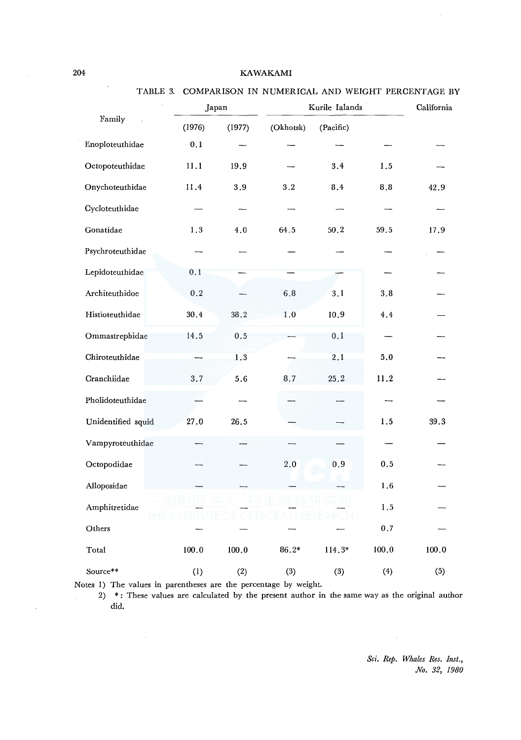# TABLE 3. COMPARISON IN NUMERICAL AND WEIGHT PERCENTAGE BY

|                    | Japan   |         |           | Kurile Ialands |         |       |  |  |  |  |
|--------------------|---------|---------|-----------|----------------|---------|-------|--|--|--|--|
| Family             | (1976)  | (1977)  | (Okhotsk) | (Pacific)      |         |       |  |  |  |  |
| Enoploteuthidae    | 0.1     |         |           |                |         |       |  |  |  |  |
| Octopoteuthidae    | 11.1    | 19.9    |           | 3.4            | 1.5     |       |  |  |  |  |
| Onychoteuthidae    | 11.4    | $3.9\,$ | 3.2       | 8.4            | $8.8\,$ | 42.9  |  |  |  |  |
| Cycloteuthidae     |         |         |           |                |         |       |  |  |  |  |
| Gonatidae          | 1.3     | 4.0     | 64.5      | 50.2           | 59.5    | 17.9  |  |  |  |  |
| Psychroteuthidae   |         |         |           |                |         |       |  |  |  |  |
| Lepidoteuthidae    | 0.1     |         |           |                |         |       |  |  |  |  |
| Architeuthidoe     | $0.2\,$ |         | $6.8\,$   | 3,1            | 3.8     |       |  |  |  |  |
| Histioteuthidae    | 30.4    | 38.2    | $1\, .0$  | 10, 9          | 4.4     |       |  |  |  |  |
| Ommastrephidae     | 14.5    | 0.5     |           | 0,1            |         |       |  |  |  |  |
| Chiroteuthidae     |         | 1.3     |           | 2.1            | 5.0     |       |  |  |  |  |
| Cranchiidae        | 3.7     | 5.6     | 8.7       | 25.2           | 11.2    |       |  |  |  |  |
| Pholidoteuthidae   |         |         |           |                |         |       |  |  |  |  |
| Unidentified squid | 27.0    | 26.5    |           |                | 1.5     | 39.3  |  |  |  |  |
| Vampyroteuthidae   |         |         |           |                |         |       |  |  |  |  |
| Octopodidae        |         |         | 2.0       | 0,9            | 0.5     |       |  |  |  |  |
| Alloposidae        |         |         |           |                | 1.6     |       |  |  |  |  |
| Amphitretidae      |         |         |           |                | $1.5\,$ |       |  |  |  |  |
| Others             |         |         |           |                | 0.7     |       |  |  |  |  |
| Total              | 100.0   | 100.0   | 86.2*     | 114.3*         | 100.0   | 100.0 |  |  |  |  |
| Source**           | (1)     | (2)     | (3)       | (3)            | (4)     | (5)   |  |  |  |  |

Notes 1) The values in parentheses are the percentage by weight.

2) \*: These values are calculated by the present author in the same way as the original author did.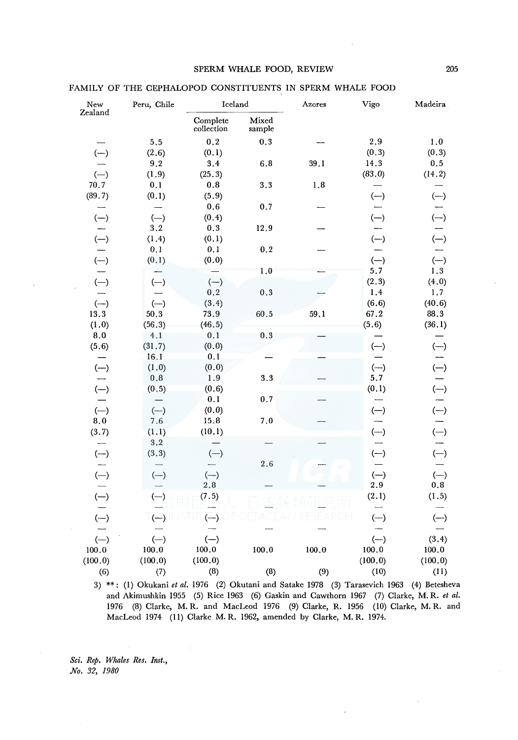| New                      | Peru, Chile | Iceland                |                    | Azores | Vigo                     | Madeira |  |
|--------------------------|-------------|------------------------|--------------------|--------|--------------------------|---------|--|
| Zealand                  |             | Complete<br>collection | Mixed<br>sample    |        |                          |         |  |
|                          | 5.5         | 0.2                    | $\boldsymbol{0.3}$ |        | 2.9                      | 1.0     |  |
| $(-)$                    | (2.6)       | (0.1)                  |                    |        | (0.3)                    | (0.3)   |  |
|                          | 9.2         | 3.4                    | 6.8                | 39.1   | 14.3                     | $0.5\,$ |  |
| $(-)$                    | (1.9)       | (25.3)                 |                    |        | (83.0)                   | (14.2)  |  |
| 70.7                     | 0.1         | 0.8                    | 3.3                | 1.8    |                          |         |  |
| (89.7)                   | (0.1)       | (5.9)                  |                    |        | $(-)$                    | $(-)$   |  |
|                          |             | 0.6                    | 0.7                |        |                          |         |  |
| $(-)$                    | $(-)$       | (0.4)                  |                    |        | $(-)$                    | $(-)$   |  |
|                          | $\bf 3.2$   | $0.3\,$                | 12.9               |        |                          |         |  |
| $(-)$                    | (1.4)       | (0.1)                  |                    |        | $(-)$                    | $(-)$   |  |
| $\overline{\phantom{a}}$ | 0.1         | 0.1                    | 0.2                |        |                          |         |  |
| $(-)$                    | (0.1)       | (0.0)                  |                    |        | $(-)$                    | $(-)$   |  |
|                          |             |                        | 1.0                |        | 5.7                      | 1.3     |  |
| $(-)$                    | $(-)$       | $(-)$                  |                    |        | (2.3)                    | (4.0)   |  |
|                          |             | 0.2                    | 0.3                |        | 1.4                      | 1.7     |  |
| $(-)$                    | $(-)$       | (3.4)                  |                    |        | (6.6)                    | (40.6)  |  |
| 13.3                     | 50.3        | 73.9                   | 60.5               | 59.1   | 67.2                     | 88.3    |  |
| (1.0)                    | (56.3)      | (46.5)                 |                    |        | (5.6)                    | (36.1)  |  |
| 8,0                      | 4.1         | 0.1                    | 0.3                |        |                          |         |  |
| (5.6)                    | (31.7)      | (0.0)                  |                    |        | $(-)$                    | $(-)$   |  |
|                          | 16.1        | 0,1                    |                    |        |                          |         |  |
| $(-)$                    | (1.0)       | (0.0)                  |                    |        | $(-)$                    | $(-)$   |  |
|                          | 0.8         | 1.9                    | 3.3                |        | 5.7                      |         |  |
| $(-)$                    | (0.5)       | (0.6)                  |                    |        | (0.1)                    | $(-)$   |  |
|                          |             | 0.1                    | 0.7                |        |                          |         |  |
| $(-)$                    | $(-)$       | (0.0)                  |                    |        | $(-)$                    | $(-)$   |  |
| 8,0                      | 7.6         | 15.8                   | 7.0                |        |                          |         |  |
| (3.7)                    | (1.1)       | (10.1)                 |                    |        | $(-)$                    | $(-)$   |  |
|                          | $3.2\,$     |                        |                    |        |                          |         |  |
| $(-)$                    | (3.3)       | $(-)$                  |                    |        | $(-)$                    | $(-)$   |  |
|                          |             |                        | 2.6                |        |                          |         |  |
| $(-)$                    | $(-)$       | $(-)$                  |                    |        | $(-)$                    | $(-)$   |  |
| $\overline{\phantom{0}}$ |             | 2.8                    |                    |        | 2.9                      | 0.8     |  |
| $(-)$                    | $(-)$       | (7.5)                  |                    |        | (2.1)                    | (1.5)   |  |
|                          |             |                        |                    |        | $\overline{\phantom{0}}$ |         |  |
| $(-)$                    | $(-)$       | -)                     |                    |        | $(-)$                    | $(-)$   |  |
|                          |             |                        |                    |        |                          |         |  |
| $(-)$                    | $(-)$       | $(-)$                  |                    |        | $(-)$                    | (3.4)   |  |
| 100.0                    | 100.0       | 100.0                  | 100.0              | 100.0  | 100.0                    | 100.0   |  |
| (100.0)                  | (100.0)     | (100.0)                |                    |        | (100.0)                  | (100.0) |  |
| (6)                      | (7)         | (8)                    | (8)                | (9)    | (10)                     | (11)    |  |

FAMILY OF THE CEPHALOPOD CONSTITUENTS IN SPERM WHALE FOOD

3) \*\*: (!) Okukani *et al.* 1976 (2) Okutani and Satake 1978 (3) Tarasevich 1963 ( 4) Betesheva and Akimushkin 1955 (5) Rice 1963 (6) Gaskin and Cawthorn 1967 (7) Clarke, M. R. *et al.*  1976 (8) Clarke, M. R. and MacLeod 1976 (9) Clarke, R. 1956 ( 10) Clarke, M. R. and MacLeod 1974 (11) Clarke M. R. 1962, amended by Clarke, M. R. 1974.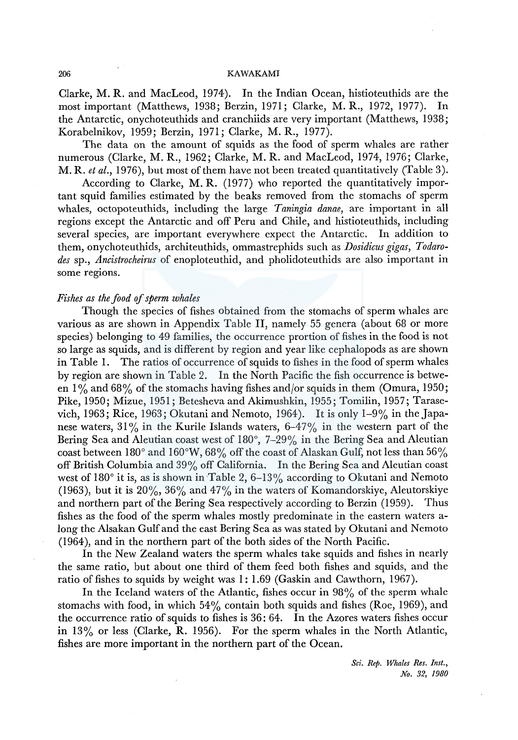Clarke, M. R. and MacLeod, 1974). In the Indian Ocean, histioteuthids are the most important (Matthews, 1938; Berzin, 1971; Clarke, M. R., 1972, 1977). In the Antarctic, onychoteuthids and cranchiids are very important (Matthews, 1938; Korabelnikov, 1959; Berzin, 1971; Clarke, M. R., 1977).

The data on the amount of squids as the food of sperm whales are rather numerous (Clarke, M. R., 1962; Clarke, M. R. and MacLeod, 1974, 1976; Clarke, M. R. *et al.,* 1976), but most of them have not been treated quantitatively (Table 3).

According to Clarke, M. R. (1977) who reported the quantitatively important squid families estimated by the beaks removed from the stomachs of sperm whales, octopoteuthids, including the large *Taningia danae,* are important in all regions except the Antarctic and off Peru and Chile, and histioteuthids, including several species, are important everywhere expect the Antarctic. In addition to them, onychoteuthids, architeuthids, ommastrephids such as *Dosidicus gigas, Todarodes* sp., *Ancistrocheirus* of enoploteuthid, and pholidoteuthids are also important in some regions.

## *Fishes as the food of sperm whales*

Though the species of fishes obtained from the stomachs of sperm whales are various as are shown in Appendix Table II, namely 55 genera (about 68 or more species) belonging to 49 families, the occurrence prortion of fishes in the food is not so large as squids, and is different by region and year like cephalopods as are shown in Table 1. The ratios of occurrence of squids to fishes in the food of sperm whales by region are shown in Table 2. In the North Pacific the fish occurrence is between  $1\%$  and 68% of the stomachs having fishes and/or squids in them (Omura, 1950; Pike, 1950; Mizue, 1951; Betesheva and Akimushkin, 1955; Tomilin, 1957; Tarasevich, 1963; Rice, 1963; Okutani and Nemoto, 1964). It is only 1-9% in the Japanese waters,  $31\%$  in the Kurile Islands waters,  $6-47\%$  in the western part of the Bering Sea and Aleutian coast west of  $180^\circ$ , 7-29% in the Bering Sea and Aleutian coast between 180° and 160°W, 68% off the coast of Alaskan Gulf, not less than 56% off British Columbia and 39% off California. In the Bering Sea and Aleutian coast west of 180° it is, as is shown in Table 2, 6-13% according to Okutani and Nemoto (1963), but it is  $20\%, 36\%$  and  $47\%$  in the waters of Komandorskiye, Aleutorskiye and northern part of the Bering Sea respectively according to Berzin (1959). Thus fishes as the food of the sperm whales mostly predominate in the eastern waters along the Alsakan Gulf and the east Bering Sea as was stated by Okutani and Nemoto (1964), and in the northern part of the both sides of the North Pacific.

In the New Zealand waters the sperm whales take squids and fishes in nearly the same ratio, but about one third of them feed both fishes and squids, and the ratio of fishes to squids by weight was 1: 1.69 (Gaskin and Cawthorn, 1967).

In the Iceland waters of the Atlantic, fishes occur in  $98\%$  of the sperm whale stomachs with food, in which  $54\%$  contain both squids and fishes (Roe, 1969), and the occurrence ratio of squids to fishes is 36: 64. In the Azores waters fishes occur in 13% or less (Clarke, R. 1956). For the sperm whales in the North Atlantic, fishes are more important in the northern part of the Ocean.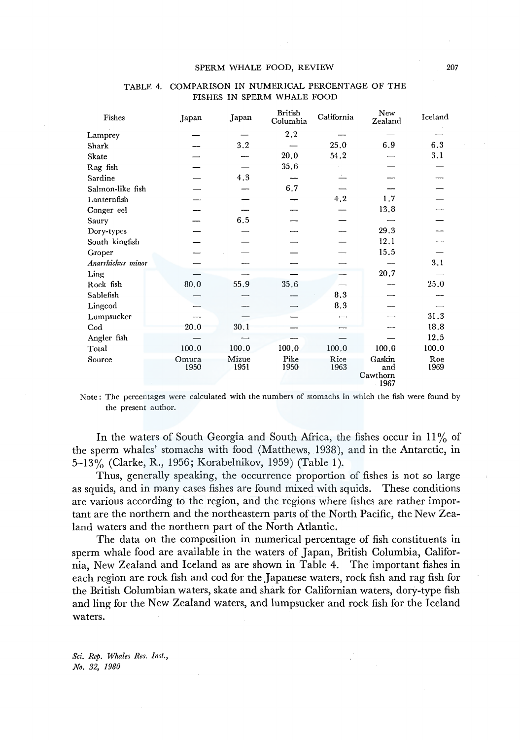| Fishes            | Japan         | Japan         | British<br>Columbia | California   | New<br>Zealand                       | Iceland     |
|-------------------|---------------|---------------|---------------------|--------------|--------------------------------------|-------------|
| Lamprey           |               |               | 2.2                 |              |                                      |             |
| Shark             |               | 3.2           |                     | 25.0         | 6.9                                  | 6.3         |
| Skate             |               |               | 20.0                | 54.2         |                                      | 3.1         |
| Rag fish          |               |               | 35.6                |              |                                      |             |
| Sardine           |               | 4.3           |                     |              |                                      |             |
| Salmon-like fish  |               |               | 6.7                 |              |                                      |             |
| Lanternfish       |               |               |                     | 4.2          | 1.7                                  |             |
| Conger eel        |               |               |                     |              | 13.8                                 |             |
| Saury             |               | 6.5           |                     |              |                                      |             |
| Dory-types        |               |               |                     |              | 29.3                                 |             |
| South kingfish    |               |               |                     |              | 12.1                                 |             |
| Groper            |               |               |                     |              | 15.5                                 |             |
| Anarrhichus minor |               |               |                     |              |                                      | 3.1         |
| Ling              |               |               |                     |              | 20.7                                 |             |
| Rock fish         | $80.0\,$      | 55.9          | 35.6                |              |                                      | 25.0        |
| Sablefish         |               |               |                     | 8.3          |                                      |             |
| Lingcod           |               |               |                     | 8.3          |                                      |             |
| Lumpsucker        |               |               |                     |              |                                      | 31.3        |
| $_{\rm Cod}$      | 20.0          | 30.1          |                     |              |                                      | 18.8        |
| Angler fish       |               |               |                     |              |                                      | 12.5        |
| Total             | 100.0         | 100.0         | 100.0               | 100.0        | 100.0                                | 100.0       |
| Source            | Omura<br>1950 | Mizue<br>1951 | Pike<br>1950        | Rice<br>1963 | Gaskin<br>and<br>Cawthorn<br>$-1967$ | Roe<br>1969 |

## TABLE 4. COMPARISON IN NUMERICAL PERCENTAGE OF THE FISHES IN SPERM WHALE FOOD

Note: The percentages were calculated with the numbers of stomachs in which the fish were found by the present author.

In the waters of South Georgia and South Africa, the fishes occur in  $11\%$  of the sperm whales' stomachs with food (Matthews, 1938), and in the Antarctic, in 5-13% (Clarke, R., 1956; Korabelnikov, 1959) (Table 1).

Thus, generally speaking, the occurrence proportion of fishes is not so large as squids, and in many cases fishes are found mixed with squids. These conditions are various according to the region, and the regions where fishes are rather important are the northern and the northeastern parts of the North Pacific, the New Zealand waters and the northern part of the North Atlantic.

The data on the composition in numerical percentage of fish constituents in sperm whale food are available in the waters of Japan, British Columbia, California, New Zealand and Iceland as are shown in Table 4. The important fishes in each region are rock fish and cod for the Japanese waters, rock fish and rag fish for the British Columbian waters, skate and shark for Californian waters, dory-type fish and ling for the New Zealand waters, and lumpsucker and rock fish for the Iceland waters.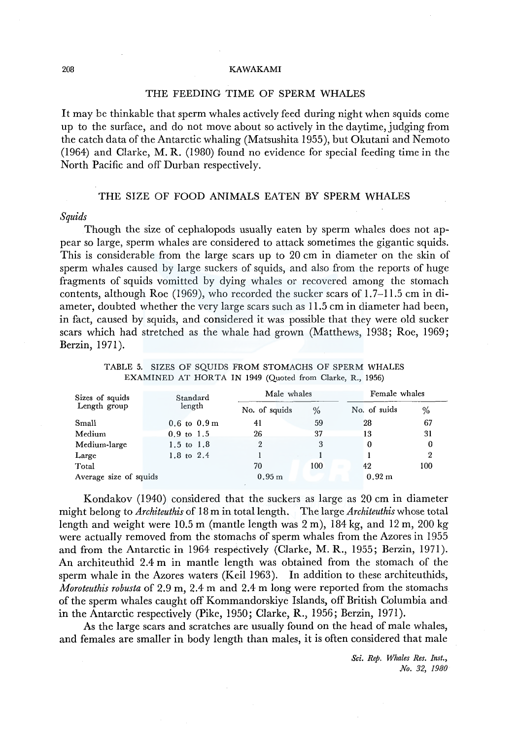## THE FEEDING TIME OF SPERM WHALES

It may be thinkable that sperm whales actively feed during night when squids come up to the surface, and do not move about so actively in the daytime, judging from the catch data of the Antarctic whaling (Matsushita 1955), but Okutani and Nemoto (1964) and Clarke, M. R. (1980) found no evidence for special feeding time in the North Pacific and off Durban respectively.

## THE SIZE OF FOOD ANIMALS EATEN BY SPERM WHALES

#### *Squids*

Though the size of cephalopods usually eaten by sperm whales does not appear so large, sperm whales are considered to attack sometimes the gigantic squids. This is considerable from the large scars up to 20 cm in diameter on the skin of sperm whales caused by large suckers of squids, and also from the reports of huge fragments of squids vomitted by dying whales or recovered among the stomach contents, although Roe (1969), who recorded the sucker scars of 1.7-11.5 cm in diameter, doubted whether the very large scars such as 11.5 cm in diameter had been, in fact, caused by squids, and considered it was possible that they were old sucker scars which had stretched as the whale had grown (Matthews, 1938; Roe, 1969; Berzin, 1971).

| Sizes of squids        | Standard                    | Male whales       |      | Female whales |     |  |  |
|------------------------|-----------------------------|-------------------|------|---------------|-----|--|--|
| Length group           | length                      | No. of squids     | $\%$ | No. of suids  | %   |  |  |
| Small                  | $0.6$ to $0.9 \,\mathrm{m}$ | 41                | 59   | 28            | 67  |  |  |
| Medium                 | $0.9 \text{ to } 1.5$       | 26                | 37   | 13            | 31  |  |  |
| Medium-large           | 1.5 to 1.8                  | 2                 | 3    | 0             | 0   |  |  |
| Large                  | 1.8 to 2.4                  |                   |      |               | 2   |  |  |
| Total                  |                             | 70                | 100  | 42            | 100 |  |  |
| Average size of squids |                             | 0.95 <sub>m</sub> |      | 0.92 m        |     |  |  |

TABLE 5. SIZES OF SQUIDS FROM STOMACHS OF SPERM WHALES EXAMINED AT HORTA IN 1949 (Quoted from Clarke, R., 1956)

Kondakov (1940) considered that the suckers as large as 20 cm in diameter might belong to *Architeuthis* of 18 m in total length. The large *Architeuthis* whose total length and weight were  $10.5$  m (mantle length was  $2 \text{ m}$ ),  $184 \text{ kg}$ , and  $12 \text{ m}$ ,  $200 \text{ kg}$ were actually removed from the stomachs of sperm whales from the Azores in 1955 and from the Antarctic in 1964 respectively (Clarke, M. R., 1955; Berzin, 1971). An architeuthid 2.4 m in mantle length was obtained from the stomach of the sperm whale in the Azores waters (Keil 1963). In addition to these architeuthids, *Moroteuthis robusta* of 2.9 m, 2.4 m and 2.4 m long were reported from the stomachs of the sperm whales caught off Kommandorskiye Islands, off British Columbia and in the Antarctic respectively (Pike, 1950; Clarke, R., 1956; Berzin, 1971 ).

As the large scars and scratches are usually found on the head of male whales, and females are smaller in body length than males, it is often considered that male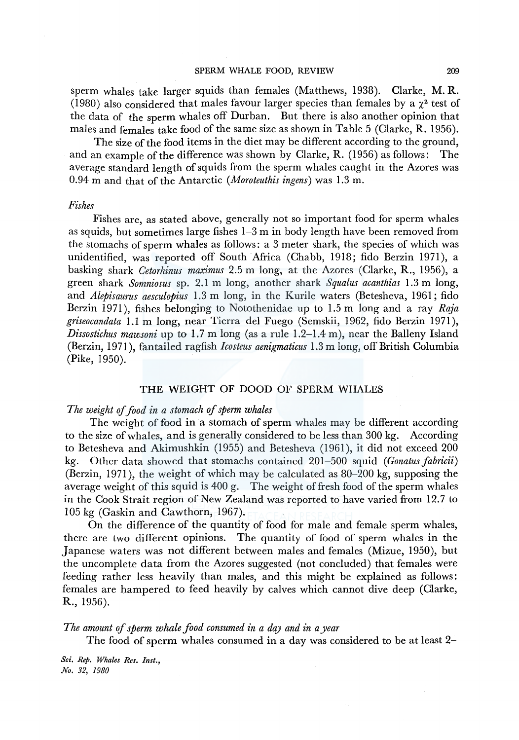sperm whales take larger squids than females (Matthews, 1938). Clarke, M. R. (1980) also considered that males favour larger species than females by a  $\chi^2$  test of the data of the sperm whales off Durban. But there is also another opinion that males and females take food of the same size as shown in Table 5 (Clarke, R. 1956).

The size of the food items in the diet may be different according to the ground. and an example of the difference was shown by Clarke, R. (1956) as follows: The average standard length of squids from the sperm whales caught in the Azores was 0.94 m and that of the Antarctic *(Moroteuthis ingens)* was 1.3 m.

## *Fishes*

Fishes are, as stated above, generally not so important food for sperm whales as squids, but sometimes large fishes 1-3 m in body length have been removed from the stomachs of sperm whales as follows: a 3 meter shark, the species of which was unidentified, was reported off South Africa (Chabb, 1918; fido Berzin 1971), a basking shark *Cetorhinus maximus* 2.5 m long, at the Azores (Clarke, R., 1956), a green shark *Somniosus* sp. 2.1 m long, another shark *Squalus acanthias* 1.3 m long, and *Alepisaurus aesculopius* 1.3 m long, in the Kurile waters (Betesheva, 1961; fido Berzin 1971), fishes belonging to Notothenidae up to 1.5 m long and a ray *Raja griseocandata* I.Im long, near Tierra del Fuego (Semskii, 1962, fido Berzin 1971), *Dissostichus mawsoni* up to 1.7 m long (as a rule 1.2-1.4 m), near the Balleny Island (Berzin, 1971 ), fan tailed ragfish *lcosteus aenigmaticus* 1.3 m long, off British Columbia (Pike, 1950).

# THE WEIGHT OF DOOD OF SPERM WHALES

# *The weight of food in a stomach of sperm whales*

The weight of food in a stomach of sperm whales may be different according to the size of whales, and is generally considered to be less than 300 kg. According to Betesheva and Akimushkin (1955) and Betesheva (1961), it did not exceed 200 kg. Other data showed that stomachs contained 201-500 squid *(Gonatus fabricii)*  (Berzin, 1971), the weight of which may be calculated as 80-200 kg, supposing the average weight of this squid is 400 g. The weight of fresh food of the sperm whales in the Cook Strait region of New Zealand was reported to have varied from 12. 7 to 105 kg (Gaskin and Cawthorn, 1967).

On the difference of the quantity of food for male and female sperm whales, there are two different opinions. The quantity of food of sperm whales in the Japanese waters was not different between males and females (Mizue, 1950), but the uncomplete data from the Azores suggested (not concluded) that females were feeding rather less heavily than males, and this might be explained as follows: females are hampered to feed heavily by calves which cannot dive deep (Clarke, R., 1956).

*The amount* ef *sperm whale food consumed in a day and in a year* 

The food of sperm whales consumed in a day was considered to be at least 2-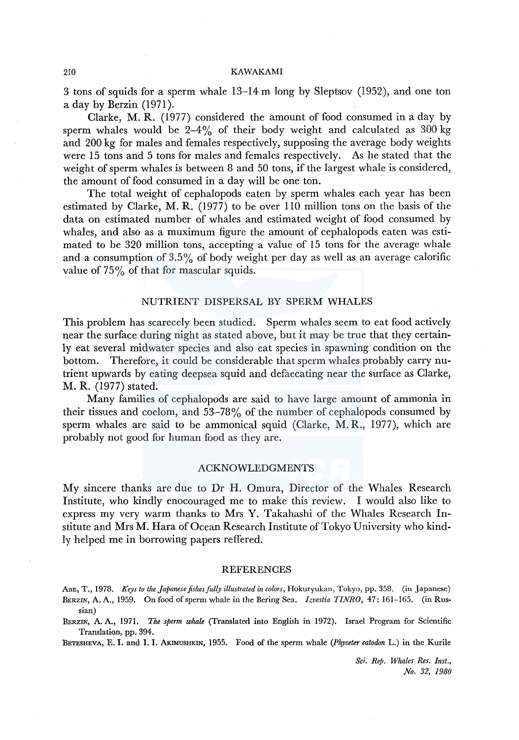3 tons of squids for a sperm whale 13-14 m long by Sleptsov (1952), and one ton a day by Berzin (1971).

Clarke, M. R. (1977) considered the amount of food consumed in a day by sperm whales would be  $2-4\%$  of their body weight and calculated as 300 kg and 200 kg for males and females respectively, supposing the average body weights were 15 tons and 5 tons for males and females respectively. As he stated that the weight of sperm whales is between 8 and 50 tons, if the largest whale is considered, the amount of food consumed in a day will be one ton.

The total weight of cephalopods eaten by sperm whales each year has been estimated by Clarke, M. R. (1977) to be over 110 million tons on the basis of the data on estimated number of whales and estimated weight of food consumed by whales, and also as a muximum figure the amount of cephalopods eaten was estimated to be 320 million tons, accepting a value of 15 tons for the average whale and a consumption of 3.5% of body weight per day as well as an average calorific value of  $75\%$  of that for mascular squids.

## NUTRIENT DISPERSAL BY SPERM WHALES

This problem has scarecely been studied. Sperm whales seem to eat food actively near the surface during night as stated above, but it may be true that they certainly eat several midwater species and also eat species in spawning condition on the bottom. Therefore, it could be considerable that sperm whales probably carry nutrient upwards by eating deepsea squid and defaecating near the surface as Clarke, M. R. (1977) stated.

Many families of cephalopods are said to have large amount of ammonia in their tissues and coelom, and 53-78% of the number of cephalopods consumed by sperm whales are said to be ammonical squid (Clarke, M. R., 1977), which are probably not good for human food as they are.

## ACKNOWLEDGMENTS

My sincere thanks are due to Dr H. Omura, Director of the Whales Research Institute, who kindly enocouraged me to make this review. I would also like to express my very warm thanks to Mrs Y. Takahashi of the Whales Research Institute and Mrs M. Hara of Ocean Research Institute of Tokyo University who kindly helped me in borrowing papers reffered.

## REFERENCES

- ABE, T., 1978. *Keys to the Japanese fishes fully illustrated in colors*, Hokuryukan, Tokyo, pp. 358. (in Japanese) BERZIN, A. A., 1959. On food of sperm whale in the Bering Sea. */zvestia TINRO,* 47: 161-165. (in Russian)
- BERZlN, A. A., 1971. *The sperm whale* (Translated into English in 1972). Israel Program for Scientific Translation, pp. 394.

BETESHEVA, E. I. and I. I. AKIMUSHKIN, 1955. Food of the sperm whale *(Physeter catodon* L.) in the Kurile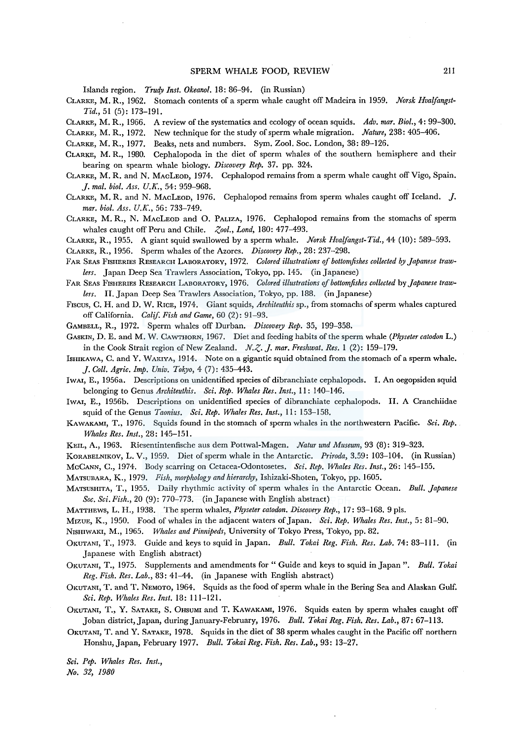Islands region. *Truqy Inst. Okeanol.* 18: 86-94. (in Russian)

- CLARKE, M. R., 1962. Stomach contents of a sperm whale caught off Madeira in 1959. *Norsk Hvalfangst-Tid.,* 51(5):173-191.
- CLARKE, M. R., 1966. A review of the systematics and ecology of ocean squids. *Adv. mar. Biol.,* 4: 99-300.
- CLARKE, M. R., 1972. New technique for the study of sperm whale migration. *Nature,* 238: 405-406.

CLARKE, M. R., 1977. Beaks, nets and numbers. Sym. Zoo!. Soc. London, 38: 89-126.

- CLARKE, M. R., 1980. Cephalopoda in the diet of sperm whales of the southern hemisphere and their bearing on spearm whale biology. *Discovery Rep.* 37. pp. 324.
- CLARKE, M. R. and N. MACLEOD, 1974. Cephalopod remains from a sperm whale caught off Vigo, Spain. *J. mal. biol. Ass. U.K.,* 54: 959-968.
- CLARKE, M. R. and N. MACLEOD, 1976. Cephalopod remains from sperm whales caught off Iceland. J. *mar. biol. Ass. U.K.,* 56: 733-749.
- CLARKE, M. R., N. MACLEOD and 0. PALIZA, 1976. Cephalopod remains from the stomachs of sperm whales caught off Peru and Chile. *Zool., Lond*, 180: 477-493.
- CLARKE, R., 1955. A giant squid swallowed by a sperm whale. *Norsk Hvalfangst-Tid.,* 44 (10): 589-593.

CLARKE, R., 1956. Sperm whales of the Azores. *Discovery Rep.,* 28: 237-298.

- FAR SEAS FISHERIES RESEARCH LABORATORY, 1972. Colored illustrations of bottomfishes collected by Japanese traw*lers.* Japan Deep Sea Trawlers Association, Tokyo, pp. 145. (in Japanese)
- FAR SEAS FISHERIES RESEARCH LABORATORY, 1976. *Colored illustrations* ef *bottomjishes collected* by *Japanese trawlers.* II. Japan Deep Sea Trawlers Association, Tokyo, pp. 188. (in Japanese)
- Fiscus, C. H. and D. W. RICE, 1974. Giant squids, *Architeuthis* sp., from stomachs of sperm whales captured off California. *Calif. Fish and Game,* 60 (2): 91-93.

GAMBELL, R., 1972. Sperm whales off Durban. *Discovery Rep.* 35, 199-358.

- GASKIN, D. E. and M. W. CAWTHORN, 1967. Diet and feeding habits of the sperm whale *(Pkyseter catodon* L.) in the Cook Strait region of New Zealand.  $N, Z, J.$  mar. Freshwat. Res. 1 (2): 159-179.
- ISHIKAWA, C. and Y. WAKIYA, 1914. Note on a gigantic squid obtained from the stomach of a sperm whale. *J. Coll. Agric. Imp. Univ. Tokyo,* 4 (7): 435-443.
- lwAI, E., 1956a. Descriptions on unidentified species of dibranchiate cephalopods. I. An oegopsiden squid belonging to Genus *Architeuthis. Sci. Rep. Whales Res. Inst.,* 11: 140-146.
- IWAI, E., 1956b. Descriptions on unidentified species of dibranchiate cephalopods. II. A Cranchiidae squid of the Genus *Taonius. Sci. Rep. Whales Res. Inst.,* 11: 153-158.
- KAWAKAMI, T., 1976. Squids found in the stomach of sperm whales in the northwestern Pacific. *Sci. Rep. Whales Res. Inst.,* 28: 145-151.
- KEIL, A., 1963. Riesentintenfische aus dem Pottwal-Magen. *Natur und Museum,* 93 (8): 319-323.
- KoRABELNIKOV, L. V., 1959. Diet of sperm whale in the Antarctic. *Priroda,* 3.59: 103-104. (in Russian) McCANN, C., 1974. Body scarring on Cetacea-Odontosetes. *Sci. Rep. Whales Res. Inst.,* 26: 145-155.

MATSUBARA, K., 1979. *Fish, morphology and hierarchy,* Ishizaki-Shoten, Tokyo, pp. 1605.

- MATSUSHITA, T., 1955. Daily rhythmic activity of sperm whales in the Antarctic Ocean. *Bull. Japanese Soc. Sci. Fish.,* 20 (9): 770-773. (in Japanese with English abstract)
- MATTHEWS, L. H., 1938. The sperm whales, *Physeter catodon. Discovery Rep.,* 17: 93-168. 9 pls.
- MrzuE, K., 1950. Food of whales in the adjacent waters of Japan. *Sci. Rep. Whales Res. Inst.,* 5: 81-90.

NrsmwAKI, M., 1965. *Whales and Pinnipeds,* University of Tokyo Press, Tokyo, pp. 82.

- 0KUTANI, T., 1973. Guide and keys to squid in Japan. *Bull. Tokai Reg. Fish. Res. Lab.* 74: 83-111. (in Japanese with English abstract)
- 0KUTANI, T., 1975. Supplements and amendments for" Guide and keys to squid in Japan". *Bull. Takai Reg. Fish. Res. Lab.,* 83: 41-44. (in Japanese with English abstract)
- 0KUTANI, T. and T. NEMOTO, 1964. Squids as the food of sperm whale in the Bering Sea and Alaskan Gulf. *Sci. Rep. Whales Res. Inst.* 18: 111-121.
- 0KUTANI, T., Y. SATAKE, S. 0HSUMI and T. KAWAKAMI, 1976. Squids eaten by sperm whales caught off Jo ban district, Japan, during January-February, 1976. *Bull. Tokai Reg. Fish. Res. Lab.,* 87: 67-113.
- 0KUTANI, T. and Y. SATAKE, 1978. Squids in the diet of 38 sperm whales caught in the Pacific off northern Honshu, Japan, February 1977. *Bull. Tokai Reg. Fish. Res. Lab.,* 93: 13-27.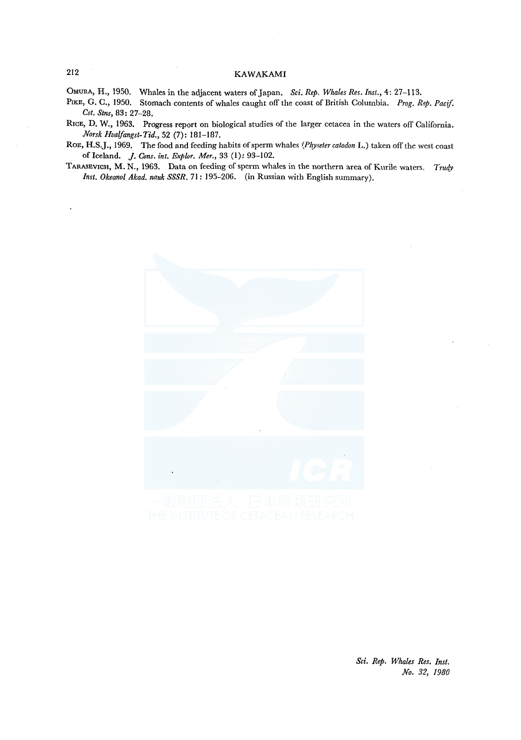OMURA, H., 1950. Whales in the adjacent waters of Japan. *Sci. Rep. Whales Res. Inst.,* 4: 27-113.

PIKE, G. C., 1950. Stomach contents of whales caught off the coast of British Columbia. *Prog. Rep. Pacif. Cst. Stns,* 83: 27-28.

RrcE, D. W., 1963. Progress report on biological studies of the larger cetacea in the waters off California. *Norsk Hvalfangst-Tid.,* 52 (7): 181-187.

RoE, **H.S.J** ., 1969. The food and feeding habits of sperm whales *(Physeter catodon* **L.)** taken off the west coast of Iceland. *j. Cons. int. Explor. Mer.,* 33 (!): 93-102.

TARASEVICH, M. N., 1963. Data on feeding of sperm whales in the northern area ofKurile waters. *Trudy Inst. Okeanol Akad. nauk SSSR.* 71: 195-206. (in Russian with English summary).

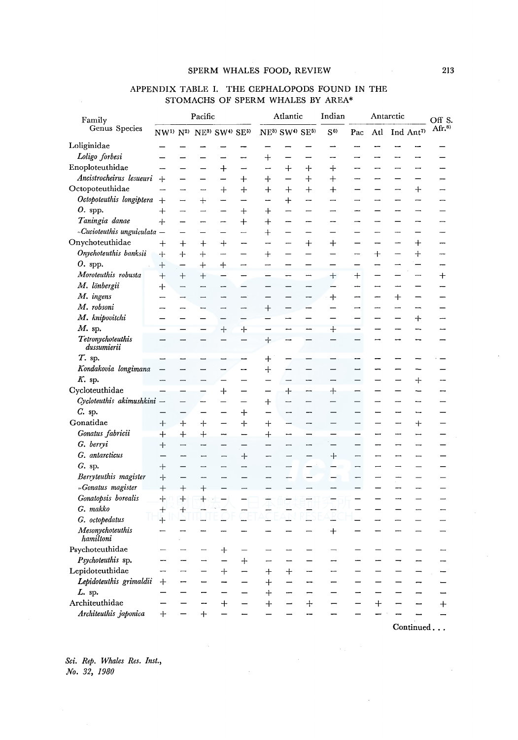| Family                                   | Pacific                  |                           |                                                                                  |                          |                          | Atlantic           |                          |                          | Indian<br>Antarctic      |                          |                          | Off S.                   |                                                  |                          |
|------------------------------------------|--------------------------|---------------------------|----------------------------------------------------------------------------------|--------------------------|--------------------------|--------------------|--------------------------|--------------------------|--------------------------|--------------------------|--------------------------|--------------------------|--------------------------------------------------|--------------------------|
| Genus Species                            |                          |                           | NW <sup>1)</sup> N <sup>2)</sup> NE <sup>3</sup> SW <sup>4</sup> SE <sup>5</sup> |                          |                          | NE3) SW4) SE5)     |                          |                          | S <sub>6</sub>           | Pac                      | Atl                      |                          | $\operatorname{Ind}$ $\operatorname{Ant}^{\eta}$ | Afr. $8)$                |
| Loliginidae                              |                          |                           |                                                                                  |                          |                          |                    |                          |                          |                          |                          |                          |                          |                                                  |                          |
| Loligo forbesi                           |                          |                           |                                                                                  |                          |                          | $\hspace{0.1mm} +$ |                          |                          |                          |                          |                          |                          |                                                  |                          |
| Enoploteuthidae                          |                          |                           |                                                                                  | $\div$                   |                          |                    | $\div$                   | ┿                        | ┿                        |                          |                          |                          |                                                  |                          |
| Ancistrocheirus lesueuri                 | $+$                      | —                         |                                                                                  | $\overline{\phantom{0}}$ | $\ddag$                  | $\ddot{}$          |                          | $\ddot{}$                | $^{+}$                   |                          |                          |                          |                                                  |                          |
| Octopoteuthidae                          | -                        | $\overline{\phantom{a}}$  | $\overline{\phantom{a}}$                                                         | $+$                      | $\ddag$                  | $\boldsymbol{+}$   | $+$                      | $^{+}$                   | $+$                      |                          |                          | -                        | $+$                                              |                          |
| Octopoteuthis longiptera                 | $\ddot{}$                |                           | $^{+}$                                                                           | <u></u>                  |                          |                    | $\bm{+}$                 |                          |                          |                          |                          |                          | -                                                |                          |
| 0. spp.                                  | $\div$                   | $\rightarrow$             |                                                                                  |                          | $^{+}$                   | $\ddag$            |                          |                          |                          |                          |                          | -                        |                                                  |                          |
| Taningia danae                           | $+$                      | —                         | -                                                                                | <b>-</b>                 | $\pm$                    | $^{+}$             |                          | -                        |                          |                          |                          |                          |                                                  |                          |
| $-Cucioteuthis unguiculata$ -            |                          |                           |                                                                                  |                          | $\overline{\phantom{0}}$ | $\hspace{0.1mm} +$ |                          |                          |                          |                          | ----                     | <u></u>                  |                                                  |                          |
| Onychoteuthidae                          | $\hspace{0.1mm} +$       | $\pm$                     | $^+$                                                                             | $^+$                     |                          |                    |                          | $\boldsymbol{+}$         | $\bm{+}$                 |                          |                          |                          | $\bm{+}$                                         |                          |
| Onychoteuthis banksii                    | $+$                      | $+$                       | $^{+}$                                                                           | ---                      |                          | $\div$             |                          |                          |                          |                          | $^{+}$                   |                          | ┿                                                |                          |
| $O.$ spp.                                | $^{+}$                   | —                         | $+$                                                                              | $+$                      | $\rightarrow$            | Ξ.                 | -                        | ÷.                       | $\overline{\phantom{0}}$ | $\overline{\phantom{0}}$ | --                       | —                        | $\overline{\phantom{0}}$                         |                          |
| Moroteuthis robusta                      | $^{+}$                   | $^{+}$                    | $\boldsymbol{+}$                                                                 |                          |                          |                    | -                        | <b></b>                  | $^+$                     | $\hspace{0.1mm} +$       |                          |                          | -                                                | $^{+}$                   |
| M. lönbergii                             | $+$                      | $\overline{\phantom{0}}$  |                                                                                  | -                        |                          |                    |                          | $\overline{\phantom{0}}$ | -                        | --                       | ⊶                        |                          |                                                  |                          |
| M. ingens                                | $\overline{\phantom{0}}$ |                           |                                                                                  |                          |                          |                    |                          |                          | +                        | ÷                        | —                        | $\,+\,$                  |                                                  |                          |
| M. robsoni                               |                          |                           | ⊷                                                                                | -                        |                          | $\overline{+}$     |                          |                          |                          |                          |                          |                          |                                                  |                          |
| M. knipovitchi                           |                          |                           |                                                                                  |                          |                          |                    |                          | —                        |                          |                          |                          |                          | $\div$                                           |                          |
| $M$ . sp.                                | -                        |                           |                                                                                  | $+$                      | $+$                      | -                  | $\overline{\phantom{0}}$ | --                       | $+$                      | $\overline{\phantom{a}}$ | -                        | —<br>—                   | --                                               | -                        |
| Tetronychoteuthis<br>dussumierii         | $\overline{\phantom{0}}$ |                           | $\overline{\phantom{0}}$                                                         | $\overline{\phantom{0}}$ |                          | ┽                  |                          | -                        | $\overline{\phantom{0}}$ |                          | -                        | --                       | --                                               |                          |
| T. sp.                                   |                          |                           |                                                                                  |                          |                          | ┿                  |                          |                          |                          |                          |                          |                          |                                                  |                          |
| Kondakovia longimana                     |                          |                           |                                                                                  | ---                      | --                       | $\hspace{0.1mm} +$ |                          |                          |                          |                          |                          |                          |                                                  |                          |
| $K$ . sp.                                | -                        | -                         |                                                                                  |                          |                          |                    | $\overline{\phantom{0}}$ | --                       |                          |                          |                          |                          | $\, +$                                           |                          |
| Cycloteuthidae                           |                          |                           |                                                                                  | ┿                        |                          |                    | ᆠ                        | --                       | $\hbox{+}$               |                          | $\overline{\phantom{0}}$ |                          |                                                  |                          |
| Cycloteuthis akimushkini                 | $\overline{\phantom{0}}$ |                           |                                                                                  |                          |                          | $\ddag$            |                          |                          |                          |                          |                          |                          | --                                               |                          |
| $C.$ sp.                                 |                          | —                         |                                                                                  |                          | ┿                        |                    |                          |                          |                          |                          |                          |                          |                                                  |                          |
| Gonatidae                                | $^+$                     | $\div$                    | $^{+}$                                                                           |                          | ┿                        | ┿                  |                          |                          |                          | ÷                        |                          | منعا                     | $^{+}$                                           |                          |
| Gonatus fabricii                         | $\div$                   | $^{+}$                    | $\! +$                                                                           | -                        |                          | $\,+\,$            | -                        |                          |                          |                          | -                        | ---                      | -                                                |                          |
| G. berryi                                | $+$                      | $\overline{\phantom{a}}$  | -                                                                                |                          |                          |                    |                          |                          |                          | $\overline{\phantom{0}}$ |                          |                          | L,                                               |                          |
| G. antarcticus                           |                          | --                        |                                                                                  |                          | $^{+}$                   |                    |                          |                          | $\ddot{}$                | -                        |                          | $\overline{\phantom{0}}$ |                                                  |                          |
| $G.$ sp.                                 | ⊹                        |                           |                                                                                  | $\overline{\phantom{0}}$ |                          |                    |                          |                          |                          | -                        |                          |                          |                                                  |                          |
| Berryteuthis magister                    | ┿                        |                           | للبيد                                                                            | -                        |                          |                    |                          |                          |                          | —                        |                          |                          |                                                  |                          |
| -Gonatus magister<br>Gonatopsis borealis | $+$                      | $+$                       | $^{+}$                                                                           |                          |                          |                    |                          |                          |                          |                          |                          |                          |                                                  |                          |
| G. makko                                 | ┿                        | $\, +$                    | $\ddag$                                                                          |                          |                          |                    |                          |                          |                          |                          |                          |                          | $\overline{a}$                                   |                          |
| G. octopedatus                           | $\pm$<br>$+$             | $\ddot{\phantom{1}}$<br>▃ | щ                                                                                |                          | $\overline{\phantom{a}}$ |                    |                          | E                        |                          |                          | --                       | —                        | $\equiv$                                         | $\overline{\phantom{0}}$ |
| Mesonychoteuthis                         | $\overline{\phantom{0}}$ |                           |                                                                                  |                          |                          |                    |                          |                          | $^{+}$                   |                          |                          |                          |                                                  |                          |
| hamiltoni                                |                          |                           |                                                                                  |                          |                          |                    |                          |                          |                          |                          |                          |                          |                                                  |                          |
| Psychoteuthidae                          | -                        | -                         | ÷                                                                                | ┿                        |                          |                    |                          |                          |                          |                          |                          |                          |                                                  |                          |
| Psychoteuthis sp.                        |                          | $\overline{\phantom{0}}$  |                                                                                  |                          | $+$                      |                    |                          |                          |                          |                          |                          |                          | --                                               |                          |
| Lepidoteuthidae                          | <b></b>                  | $\overline{\phantom{a}}$  | $\overline{\phantom{0}}$                                                         | $+$                      | $\overline{\phantom{0}}$ | $\ddag$            | $\ddot{}$                | -                        | -                        | $\overline{\phantom{0}}$ | $\overline{\phantom{0}}$ | $\qquad \qquad$          | $\overline{\phantom{0}}$                         |                          |
| Lepidoteuthis grimaldii                  | $^{+}$                   | --                        |                                                                                  |                          |                          | $\boldsymbol{+}$   |                          |                          |                          |                          |                          |                          | -                                                |                          |
| L. sp.                                   |                          |                           |                                                                                  |                          |                          | $^{+}$             |                          |                          |                          |                          |                          |                          |                                                  |                          |
| Architeuthidae                           |                          |                           | -                                                                                | $^{+}$                   |                          | $\boldsymbol{+}$   |                          | $^{+}$                   |                          |                          | $\div$                   |                          |                                                  | $\div$                   |
| Architeuthis japonica                    | $+$                      |                           | $\ddot{}$                                                                        | $\overline{\phantom{0}}$ |                          |                    |                          |                          |                          |                          | $\overline{\phantom{0}}$ |                          |                                                  |                          |

## APPENDIX TABLE I. THE CEPHALOPODS FOUND IN THE STOMACHS OF SPERM WHALES BY AREA\*

*Sci. Rep. Whales Res. Inst., No. 32, 1980* 

Continued ...

 $\bar{z}$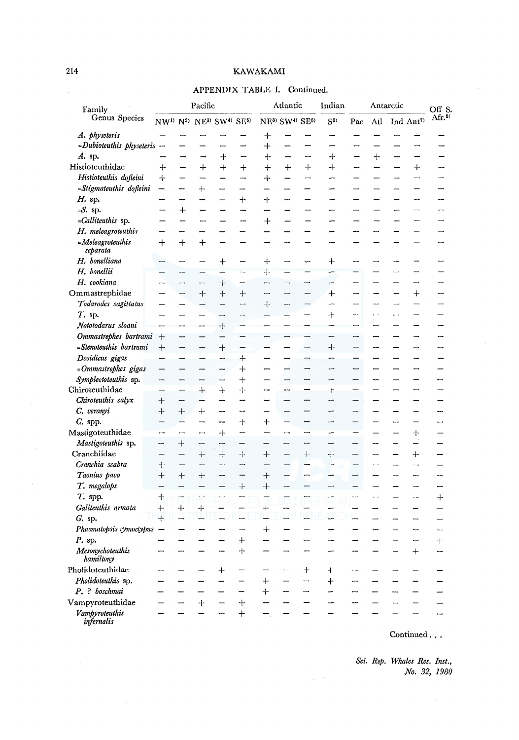# APPENDIX TABLE I. Continued.

| Family                        | Pacific                                                                           |                          |                          |                                  | Atlantic                        |                                                    |                          | Indian                   | Antarctic                |                          |                          |                          | Off S.                          |                          |
|-------------------------------|-----------------------------------------------------------------------------------|--------------------------|--------------------------|----------------------------------|---------------------------------|----------------------------------------------------|--------------------------|--------------------------|--------------------------|--------------------------|--------------------------|--------------------------|---------------------------------|--------------------------|
| Genus Species                 | NW <sup>1)</sup> N <sup>2</sup> ) NE <sup>3</sup> SW <sup>4</sup> SE <sup>5</sup> |                          |                          |                                  |                                 | NE <sup>3)</sup> SW <sup>4)</sup> SE <sup>5)</sup> |                          |                          | $S^{6)}$                 | Pac                      | Atl                      |                          | Ind Ant <sup>7)</sup>           | Ar <sub>0</sub>          |
| A. physeteris                 |                                                                                   |                          |                          |                                  |                                 | $\,+\,$                                            |                          |                          |                          |                          |                          |                          |                                 |                          |
| $-Dubiotau this\ physics -$   |                                                                                   |                          |                          | --                               |                                 | $+$                                                |                          |                          | Ļ.                       |                          |                          |                          |                                 |                          |
| A. sp.                        | -                                                                                 | -                        | --                       | $\div$                           | $\overline{\phantom{0}}$        | $\div$                                             |                          | -                        | +                        | $\overline{\phantom{0}}$ | $\ddag$                  | $\overline{\phantom{0}}$ |                                 |                          |
| Histioteuthidae               | ┿                                                                                 | ÷.                       | $^{+}$                   | $^{+}$                           | $^{+}$                          | $\ddag$                                            | $^{+}$                   | $^{+}$                   | $^{+}$                   | <u></u>                  | $\overline{\phantom{0}}$ | $\overline{\phantom{0}}$ | $+$                             |                          |
| Histioteuthis dofleini        | ┿                                                                                 | $\overline{\phantom{0}}$ | <u>— н</u>               | $\overline{\phantom{0}}$         | <u></u>                         | $\bm{+}$                                           |                          | -                        | -                        | $\overline{\phantom{0}}$ | $\overline{\phantom{0}}$ | $\overline{\phantom{0}}$ | $\overline{\phantom{0}}$        |                          |
| =Stigmateuthis dofleini       | —                                                                                 | <u></u>                  | $\overline{+}$           |                                  |                                 |                                                    |                          |                          |                          |                          |                          |                          |                                 |                          |
| H. sp.                        |                                                                                   | —                        |                          | <u></u>                          | ┿                               | $\bm{+}$                                           |                          |                          |                          |                          |                          |                          |                                 |                          |
| $-S.$ sp.                     |                                                                                   | $\ddot{}$                |                          |                                  |                                 |                                                    |                          |                          |                          |                          |                          |                          |                                 |                          |
| - <i>Calliteuthis</i> sp.     |                                                                                   |                          | $\overline{\phantom{0}}$ |                                  |                                 | $^{+}$                                             |                          |                          |                          |                          |                          |                          |                                 |                          |
| H. meleagroteuthis            |                                                                                   | -                        |                          |                                  | ─                               |                                                    |                          |                          |                          |                          |                          |                          |                                 |                          |
| = Meleagroteuthis<br>separata | $\bm{+}$                                                                          | $+$                      | $+$                      | $\overline{\phantom{0}}$         | $\overline{\phantom{0}}$        |                                                    |                          | ш,                       |                          |                          |                          | <u>—</u>                 | $\overline{\phantom{0}}$        |                          |
| H. bonelliana                 | $\overline{\phantom{0}}$                                                          |                          |                          | ┿                                |                                 | $\div$                                             | —                        | $\overline{ }$           | $\div$                   |                          |                          |                          | --                              |                          |
| H. bonellii                   |                                                                                   |                          |                          |                                  |                                 | $\ddot{}$                                          |                          | $\overline{\phantom{0}}$ |                          |                          | --                       |                          | $\overline{\phantom{0}}$        |                          |
| H. cookiana                   | -                                                                                 | $\overline{\phantom{0}}$ | $\overline{\phantom{0}}$ | ┿                                | -                               | -                                                  | $\overline{\phantom{0}}$ | ▃                        | $\overline{\phantom{0}}$ | -                        | -                        | —                        | —                               |                          |
| ${\bf Ommastrephidae}$        | $\overline{\phantom{0}}$                                                          | -                        | $+$                      | $+$                              | $\hspace{.1cm} + \hspace{.1cm}$ | $\overline{\phantom{0}}$                           | $\overline{\phantom{0}}$ | -                        | $\div$                   | -                        | —                        | —                        | $\hspace{.1cm} + \hspace{.1cm}$ |                          |
| Todarodes sagittatus          | -                                                                                 |                          |                          |                                  | -                               | $\ddag$                                            | -                        | -                        | -                        | -                        |                          | $\overline{\phantom{0}}$ | $\overline{\phantom{0}}$        | —                        |
| T. sp.                        |                                                                                   |                          | —                        | $\overline{\phantom{0}}$         |                                 |                                                    |                          |                          | $+$                      |                          | $\overline{\phantom{0}}$ | $\overline{ }$           |                                 |                          |
| Nototodarus sloani            | -                                                                                 | $\overline{\phantom{a}}$ | --                       | $\ddot{}$                        |                                 |                                                    |                          |                          |                          |                          | $\overline{\phantom{0}}$ |                          | —                               |                          |
| Ommastrephes bartrami         | $+$                                                                               | $\overline{\phantom{0}}$ |                          | $\overline{\phantom{0}}$         |                                 |                                                    | −                        | -                        |                          | $\overline{\phantom{a}}$ | ÷,                       | ÷                        | —                               |                          |
| =Stenoteuthis bartrami        | $^{+}$                                                                            |                          |                          | $\hspace{0.1mm} +\hspace{0.1mm}$ |                                 |                                                    | $\overline{\phantom{0}}$ | —                        | ┿                        |                          | --                       | L.                       | -                               | Ĩ.                       |
| Dosidicus gigas               |                                                                                   |                          |                          | --                               | $\hbox{+}$                      |                                                    |                          |                          |                          |                          |                          |                          | $\overline{\phantom{0}}$        |                          |
| =Ommastrephes gigas           |                                                                                   |                          |                          | --                               | $\hbox{+}$                      |                                                    |                          |                          |                          |                          |                          |                          |                                 |                          |
| Symplectoteuthis sp.          | --                                                                                | -                        | -                        | —                                | $\ddot{+}$                      |                                                    |                          |                          |                          |                          | <b></b>                  |                          |                                 |                          |
| Chiroteuthidae                |                                                                                   | —                        | $\div$                   | $^{+}$                           | $\div$                          |                                                    |                          | -                        | $\mathrm{+}$             | -                        | $\overline{\phantom{0}}$ | $\overline{\phantom{0}}$ | —                               |                          |
| Chiroteuthis calyx            | $^{+}$                                                                            |                          |                          |                                  |                                 |                                                    |                          |                          | <u></u>                  |                          |                          |                          |                                 |                          |
| C. veranyi                    | $+$                                                                               | $^{+}$                   | $^+$                     |                                  |                                 |                                                    |                          |                          |                          |                          |                          | --                       |                                 |                          |
| $C.$ spp.                     |                                                                                   |                          |                          | --                               | $\div$                          | $\ddag$                                            |                          |                          |                          |                          |                          | -                        |                                 |                          |
| Mastigoteuthidae              | ⊷                                                                                 |                          | $\overline{\phantom{a}}$ | $+$                              |                                 |                                                    | --                       | --                       | $\overline{\phantom{0}}$ |                          |                          |                          | $\ddag$                         |                          |
| Mastigoteuthis sp.            |                                                                                   | $^{+}$                   | ÷,                       | $\overline{\phantom{0}}$         |                                 |                                                    | -                        | −                        | ∽                        |                          | L.                       |                          | $\overline{\phantom{a}}$        |                          |
| Cranchiidae                   | $\overline{\phantom{0}}$                                                          |                          | $^{+}$                   | $+$                              | $^{+}$                          | $^{+}$                                             | $\overline{\phantom{a}}$ | $^{+}$                   | $^{+}$                   | $\overline{\phantom{0}}$ | $\overline{\phantom{0}}$ | $\overline{\phantom{0}}$ | $+$                             |                          |
| Cranchia scabra               | $+$                                                                               |                          |                          |                                  | ÷,                              |                                                    |                          |                          |                          | -                        | $\overline{\phantom{0}}$ |                          | $\overline{\phantom{0}}$        |                          |
| Taonius pavo                  | $^{+}$                                                                            | $+$                      | $^{+}$                   | -                                | $\overline{\phantom{0}}$        | $^{+}$                                             | $\overline{\phantom{a}}$ | $\overline{\phantom{0}}$ | -                        | $\overline{\phantom{0}}$ | $\overline{\phantom{0}}$ | $\overline{\phantom{0}}$ |                                 | <u></u>                  |
| T. megalops                   |                                                                                   |                          |                          | --                               | $+$                             | $^{+}$                                             | $\overline{\phantom{0}}$ |                          | $\overline{\phantom{0}}$ | -                        | $\overline{\phantom{0}}$ | $\overline{\phantom{0}}$ | $\overline{\phantom{a}}$        | $\overline{\phantom{0}}$ |
| T. spp.                       | $+$                                                                               | ÷                        |                          |                                  |                                 |                                                    |                          |                          |                          | ---                      | $\overline{\phantom{0}}$ | $\overline{\phantom{0}}$ | --                              | $^{+}$                   |
| Galiteuthis armata            | $^{+}$                                                                            | $^{+}$                   | $+$                      |                                  | e.                              | $^{+}$                                             | ┶                        | a.                       | ᆠ                        |                          | -                        |                          | -                               | --                       |
| $G.$ sp.                      | $+$                                                                               | 山                        | $\overline{\phantom{0}}$ | Ц                                | ┶                               | ┶                                                  | ┶                        | 4                        | ∽.                       |                          | —                        | --                       | $\overline{\phantom{0}}$        |                          |
| Phasmatopsis cymoctypus       | $\overline{\phantom{0}}$                                                          |                          |                          |                                  | $\overline{\phantom{0}}$        | $^{+}$                                             |                          | $\overline{\phantom{0}}$ |                          |                          | ---                      | $\overline{\phantom{0}}$ | $\overline{\phantom{0}}$        | <u>—</u>                 |
| P. sp.                        |                                                                                   |                          |                          |                                  | $\ddot{}$                       | $\overline{\phantom{0}}$                           | —                        |                          |                          |                          | $\overline{\phantom{a}}$ | $\overline{\phantom{0}}$ | $\overline{\phantom{0}}$        | $\ddot{}$                |
| Mesonychoteuthis<br>hamiltony |                                                                                   |                          |                          |                                  | $+$                             |                                                    |                          |                          |                          |                          |                          | L                        | $^{+}$                          | —                        |
| Pholidoteuthidae              |                                                                                   |                          |                          | $\hspace{0.1mm} +$               |                                 |                                                    |                          | $^+$                     | $\mathrm{+}$             |                          |                          | $\overline{\phantom{0}}$ |                                 |                          |
| Pholidoteuthis sp.            |                                                                                   | $\overline{\phantom{0}}$ | $\overline{\phantom{0}}$ | —                                | -                               | $\pm$                                              | --                       | ⊸                        | ┿                        | $\overline{\phantom{0}}$ | $\overline{\phantom{0}}$ | $\overline{\phantom{0}}$ | $\overline{\phantom{0}}$        |                          |
| P. ? boschmai                 |                                                                                   |                          |                          |                                  |                                 | $^{+}$                                             |                          | —                        |                          | -                        |                          | --                       |                                 | $\overline{\phantom{0}}$ |
| Vampyroteuthidae              |                                                                                   |                          | $^{+}$                   |                                  | $^{+}$                          |                                                    | -                        |                          |                          |                          |                          |                          |                                 | $\overline{\phantom{0}}$ |
| Vampyroteuthis<br>infernalis  |                                                                                   |                          |                          |                                  | $+$                             | —                                                  |                          |                          |                          |                          |                          |                          |                                 |                          |

Continued . . .

*Sci. Rep. Whales Res. Inst., No. 32, 1980* 

 $\bar{\beta}$ 

 $\bar{\omega}$ 

 $\sim$ 

 $\sim$   $\sim$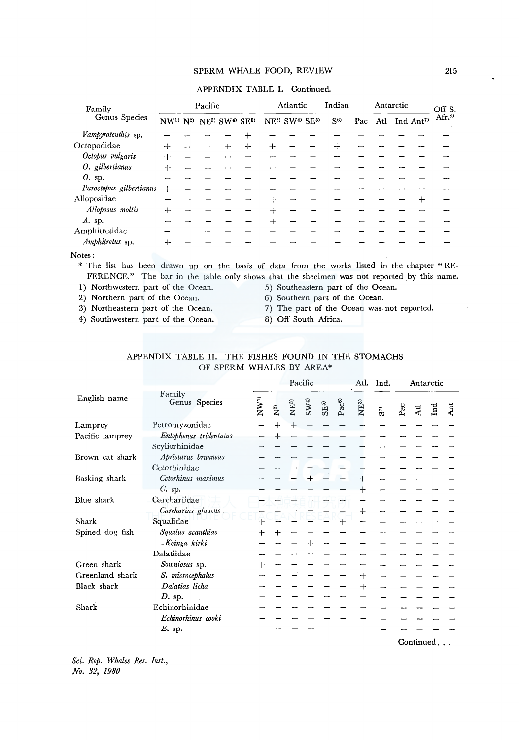APPENDIX TABLE I. Continued.

| Family                  | Pacific                      |  |        |        | Atlantic |   |                                                 | Indian<br>Antarctic |                |     |     | Off S. |                      |                     |
|-------------------------|------------------------------|--|--------|--------|----------|---|-------------------------------------------------|---------------------|----------------|-----|-----|--------|----------------------|---------------------|
| Genus Species           | $NW1$ $N2$ $NE3$ $SW4$ $SE5$ |  |        |        |          |   | NE <sup>3</sup> SW <sup>4</sup> SE <sup>5</sup> |                     | S <sup>6</sup> | Pac | Atl |        | Ind Ant <sup>7</sup> | $Ar.$ <sup>8)</sup> |
| Vampyroteuthis sp.      |                              |  |        |        |          |   |                                                 |                     |                |     |     |        |                      |                     |
| Octopodidae             | $^{+}$                       |  | $^{+}$ | $^{+}$ | $^{+}$   | ┿ |                                                 |                     | ┿              |     |     |        |                      |                     |
| Octopus vulgaris        | ⊹                            |  |        |        |          |   |                                                 |                     |                |     |     |        |                      |                     |
| O. gilbertianus         | 4                            |  | ╉      |        |          |   |                                                 |                     |                |     |     |        |                      |                     |
| 0. sp.                  |                              |  | $\div$ |        |          |   |                                                 |                     |                |     |     |        |                      |                     |
| Paroctopus gilbertianus | ┿                            |  |        |        |          |   |                                                 |                     |                |     |     |        |                      |                     |
| Alloposidae             |                              |  |        |        |          |   |                                                 |                     |                |     |     |        |                      |                     |
| Alloposus mollis        | $^{+}$                       |  |        |        |          |   |                                                 |                     |                |     |     |        |                      |                     |
| $A.$ sp.                |                              |  |        |        |          |   |                                                 |                     |                |     |     |        |                      |                     |
| Amphitretidae           |                              |  |        |        |          |   |                                                 |                     |                |     |     |        |                      |                     |
| Amphitretus sp.         |                              |  |        |        |          |   |                                                 |                     |                |     |     |        |                      |                     |

Notes:

\* The list has been drawn up on the basis of data from the works listed in the chapter " RE-FERENCE." The bar in the table only shows that the shecimen was not reported by this name.<br>
) Northwestern part of the Ocean. 5) Southeastern part of the Ocean.

1) Northwestern part of the Ocean. 5) Southeastern part of the Ocean.<br>
2) Northern part of the Ocean. 6) Southern part of the Ocean.

2) Northern part of the Ocean.<br>3) Northeastern part of the Ocean.

4) Southwestern part of the Ocean. 8) Off South Africa.

- 
- 7) The part of the Ocean was not reported.
- 

| APPENDIX TABLE II. THE FISHES FOUND IN THE STOMACHS |  |                          |  |  |  |
|-----------------------------------------------------|--|--------------------------|--|--|--|
|                                                     |  | OF SPERM WHALES BY AREA* |  |  |  |

|                 |                         |          |                   |                  | Pacific         |                  |           |                    | Atl. Ind. | Antarctic |     |              |     |
|-----------------|-------------------------|----------|-------------------|------------------|-----------------|------------------|-----------|--------------------|-----------|-----------|-----|--------------|-----|
| English name    | Family<br>Genus Species | $NW^{1}$ | $\mathbf{N}^{2)}$ | NE <sup>3</sup>  | SW <sup>4</sup> | SE <sup>5)</sup> | $Pac^{6}$ | NE <sup>3</sup>    | S.        | Pac       | Atl | $_{\rm Ind}$ | Ant |
| Lamprey         | Petromyzonidae          |          | ┿                 | $\boldsymbol{+}$ |                 |                  |           |                    |           |           |     |              |     |
| Pacific lamprey | Entophenus tridentatus  |          | $\div$            |                  |                 |                  |           |                    |           |           |     |              |     |
|                 | Scyliorhinidae          |          |                   |                  |                 |                  |           |                    |           |           |     |              |     |
| Brown cat shark | Apristurus brunneus     |          |                   | $\, + \,$        |                 |                  |           |                    |           |           |     |              |     |
|                 | Cetorhinidae            |          |                   |                  |                 |                  |           |                    |           |           |     |              |     |
| Basking shark   | Cetorhinus maximus      |          |                   |                  |                 |                  |           | ⊹                  |           |           |     |              |     |
|                 | $C.$ sp.                |          |                   |                  |                 |                  |           | $^{+}$             |           |           |     |              |     |
| Blue shark      | Carchariidae            |          |                   |                  |                 |                  |           |                    |           |           |     |              |     |
|                 | Carcharias glaucus      |          |                   |                  |                 |                  |           | $\hspace{0.1mm} +$ |           |           |     |              |     |
| Shark           | Squalidae               | $\div$   |                   |                  |                 |                  |           |                    |           |           |     |              |     |
| Spined dog fish | Squalus acanthias       | ┿        |                   |                  |                 |                  |           |                    |           |           |     |              |     |
|                 | -Koinga kirki           |          |                   |                  |                 |                  |           |                    |           |           |     |              |     |
|                 | Dalatiidae              |          |                   |                  |                 |                  |           |                    |           |           |     |              |     |
| Green shark     | Somniosus sp.           |          |                   |                  |                 |                  |           |                    |           |           |     |              |     |
| Greenland shark | S. microcephalus        |          |                   |                  |                 |                  |           | $^{+}$             |           |           |     |              |     |
| Black shark     | Dalatias licha          |          |                   |                  |                 |                  |           | $\mathrm{+}$       |           |           |     |              |     |
|                 | $D$ , sp.               |          |                   |                  |                 |                  |           |                    |           |           |     |              |     |
| Shark           | Echinorhinidae          |          |                   |                  |                 |                  |           |                    |           |           |     |              |     |
|                 | Echinorhinus cooki      |          |                   |                  |                 |                  |           |                    |           |           |     |              |     |
|                 | E. sp.                  |          |                   |                  |                 |                  |           |                    |           |           |     |              |     |
|                 |                         |          |                   |                  |                 |                  |           |                    |           |           |     | Continued    |     |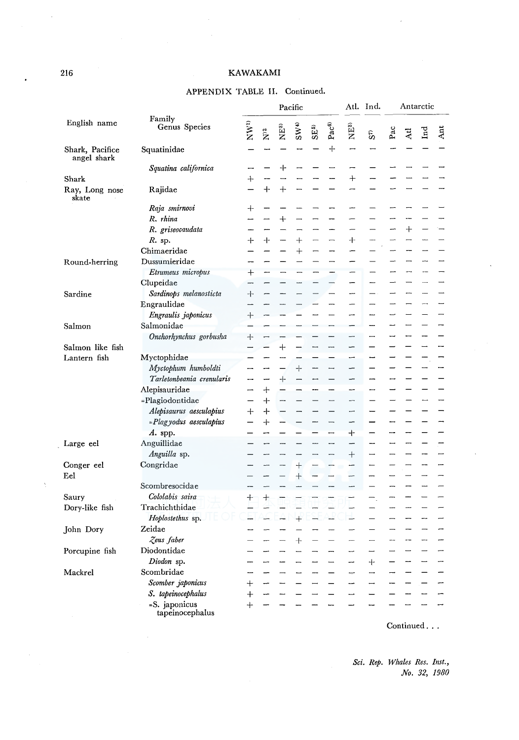# APPENDIX TABLE II. Continued.

|                                | Family<br>Genus Species          |                    |               |                          | Pacific         |                 |                          | Atl.                     | Ind.<br>S <sub>0</sub>   | Antarctic |        |     |     |
|--------------------------------|----------------------------------|--------------------|---------------|--------------------------|-----------------|-----------------|--------------------------|--------------------------|--------------------------|-----------|--------|-----|-----|
| English name                   |                                  | $N^{(1)}$          | $\tilde{Z}^2$ | NE <sup>3</sup>          | SW <sup>4</sup> | SE <sub>0</sub> | Pac <sup>6</sup>         | N <sup>83</sup>          |                          | Pac       | Atl    | Ind | Ant |
| Shark, Pacifice<br>angel shark | Squatinidae                      |                    |               |                          |                 |                 | +                        | ÷                        |                          |           |        |     |     |
|                                | Squatina californica             |                    |               | ┿                        |                 |                 |                          |                          |                          |           |        |     |     |
| Shark                          |                                  | ┿                  |               |                          |                 |                 |                          | $^{+}$                   |                          |           |        |     |     |
| Ray, Long nose<br>skate        | Rajidae                          |                    | $+$           | $+$                      |                 |                 |                          |                          |                          |           |        |     |     |
|                                | Raja smirnovi                    | $\hspace{0.1mm} +$ |               |                          |                 |                 |                          |                          |                          |           |        |     |     |
|                                | R. rhina                         |                    |               | $+$                      |                 |                 |                          |                          |                          |           |        |     |     |
|                                | R. griseocaudata                 |                    |               |                          |                 |                 |                          | $\overline{\phantom{0}}$ |                          |           | $^{+}$ |     |     |
|                                | $R.$ sp.                         | ┿                  | ┿             |                          | $\ddag$         |                 | -                        | $\ddag$                  | <u>.</u>                 |           |        |     |     |
|                                | Chimaeridae                      |                    |               |                          | $^{+}$          |                 |                          |                          |                          | ∽         |        |     |     |
| Round-herring                  | Dussumieridae                    |                    |               |                          |                 |                 |                          |                          |                          |           |        |     |     |
|                                | Etrumeus micropus                | $^{+}$             |               |                          |                 |                 |                          |                          |                          |           |        |     |     |
|                                | Clupeidae                        |                    |               |                          |                 |                 |                          | ÷                        | ---                      |           |        | —   |     |
| Sardine                        | Sardinops melanosticta           | $\hspace{0.1mm} +$ |               |                          |                 |                 |                          |                          |                          |           |        |     |     |
|                                | Engraulidae                      |                    |               |                          |                 |                 |                          | -                        |                          |           |        |     |     |
|                                | Engraulis japonicus              | $\hspace{0.1mm} +$ |               |                          |                 |                 |                          | ---                      |                          |           |        |     |     |
| Salmon                         | Salmonidae                       |                    |               |                          |                 |                 |                          |                          |                          |           |        |     |     |
|                                | Onchorhynchus gorbusha           | $+$                |               |                          |                 |                 |                          | $\overline{\phantom{a}}$ | -                        |           |        |     |     |
| Salmon like fish               |                                  |                    |               | $+$                      |                 |                 | --                       | -                        |                          |           |        |     |     |
| Lantern fish                   | Myctophidae                      |                    |               |                          |                 |                 |                          | -                        |                          |           |        |     |     |
|                                | Myctophum humboldti              |                    |               |                          | $^{+}$          |                 |                          | $\overline{\phantom{0}}$ |                          |           |        |     |     |
|                                | Tarletonbeania crenularis        |                    |               | ┿                        |                 |                 |                          |                          |                          |           |        |     |     |
|                                | Alepisauridae                    |                    | $\ddot{}$     |                          |                 |                 |                          | ш.                       |                          |           |        |     |     |
|                                | =Plagiodontidae                  |                    | $\div$        |                          |                 |                 |                          |                          |                          |           |        |     |     |
|                                | Alepisaurus aesculapius          | $+$                | $\div$        |                          |                 |                 |                          | ÷                        |                          |           |        |     |     |
|                                | =Plagyodus aesculapius           |                    | $+$           |                          |                 |                 | $\overline{\phantom{0}}$ | -                        |                          |           |        |     |     |
|                                | $A.$ spp.                        |                    |               |                          |                 |                 | $\overline{\phantom{0}}$ | $\ddag$                  |                          |           |        |     |     |
|                                | Anguillidae                      |                    |               |                          |                 | <u></u>         | $\overline{\phantom{0}}$ | -                        |                          |           |        |     |     |
| Large eel                      | Anguilla sp.                     |                    |               |                          |                 |                 |                          |                          |                          |           |        |     |     |
|                                | Congridae                        |                    |               | $\overline{\phantom{0}}$ |                 |                 | -                        | $^{+}$<br>--             |                          |           |        |     |     |
| Conger eel                     |                                  |                    |               |                          | $+$             |                 |                          | -                        |                          |           |        |     |     |
| $_{\rm Eel}$                   | Scombresocidae                   |                    |               |                          | $^{+}$          |                 |                          |                          |                          |           |        |     |     |
|                                | Cololabis saira                  |                    |               |                          |                 |                 |                          |                          |                          |           |        |     |     |
| Saury                          |                                  | $+$                | $^{+}$        |                          |                 |                 | ▃                        | L.                       |                          |           |        |     |     |
| Dory-like fish                 | Trachichthidae                   |                    | ك             |                          |                 |                 | ┶                        |                          |                          |           |        |     |     |
|                                | Hoplostethus sp.                 |                    |               |                          | $+$             |                 |                          | ÷                        | $\overline{\phantom{0}}$ |           |        | -   |     |
| John Dory                      | Zeidae                           |                    |               |                          |                 |                 |                          |                          |                          |           |        |     |     |
|                                | Zeus faber                       |                    |               |                          | $+$             |                 |                          |                          |                          |           | --     | -   |     |
| Porcupine fish                 | Diodontidae                      |                    |               | -                        |                 |                 | --                       | —                        |                          |           |        |     |     |
|                                | Diodon sp.                       |                    |               |                          |                 |                 |                          |                          | $\div$                   |           |        |     |     |
| Mackrel                        | Scombridae                       |                    |               |                          |                 |                 |                          | —                        | $\overline{\phantom{0}}$ |           |        |     |     |
|                                | Scomber japonicus                | $^{+}$             |               |                          |                 |                 |                          |                          | —                        |           |        |     |     |
|                                | S. tapeinocephalus               | $^{+}$             |               |                          |                 |                 |                          | j.                       |                          |           |        |     |     |
|                                | =S. japonicus<br>tapeinocephalus | $^{+}$             |               |                          |                 |                 |                          |                          |                          |           |        |     |     |

Continued ...

*Sci. Rep. Whales Res. Inst., No. 32, 1980* 

 $\overline{a}$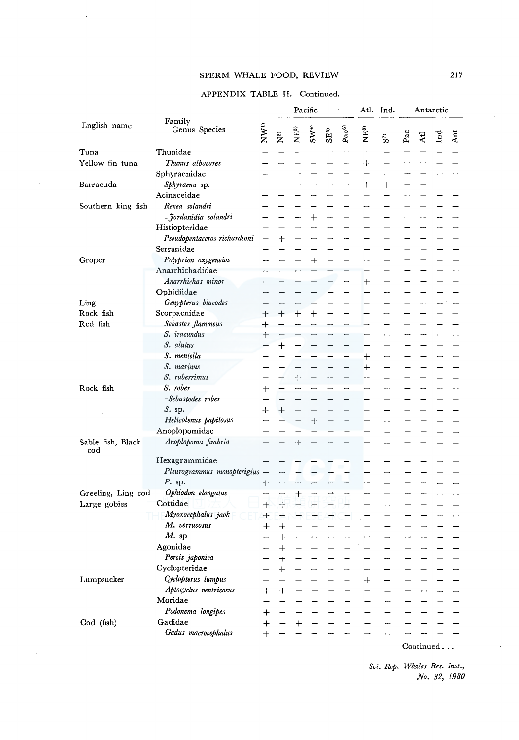## APPENDIX TABLE II. Continued.

|                          |                               |                    | Pacific                  |                 |           |                 |            |                  | Ind. | Antarctic |     |           |     |
|--------------------------|-------------------------------|--------------------|--------------------------|-----------------|-----------|-----------------|------------|------------------|------|-----------|-----|-----------|-----|
| English name             | Family<br>Genus Species       | NW <sup>1</sup>    | $\tilde{\mathbf{X}}^{2}$ | NE <sup>3</sup> | SWW       | SE <sub>3</sub> | $PaC^{6)}$ | δ,<br>Σ          | S,   | Pac       | Atl | Ind       | Ant |
| Tuna                     | Thunidae                      |                    |                          |                 |           |                 |            |                  |      |           |     |           |     |
| Yellow fin tuna          | Thunus albacares              |                    |                          |                 |           |                 |            | ┿                |      |           |     |           |     |
|                          | Sphyraenidae                  |                    |                          |                 |           |                 |            |                  |      |           |     |           |     |
| Barracuda                | Sphyraena sp.                 |                    |                          |                 |           |                 |            | $\boldsymbol{+}$ | ┿    |           |     |           |     |
|                          | Acinaceidae                   |                    |                          |                 |           |                 |            |                  |      |           |     |           |     |
| Southern king fish       | Rexea solandri                |                    |                          |                 |           |                 |            |                  |      |           |     |           |     |
|                          | =Jordanidia solandri          |                    |                          |                 | $^+$      |                 |            |                  |      |           |     |           |     |
|                          | Histiopteridae                |                    |                          |                 |           |                 |            |                  |      |           |     |           |     |
|                          | Pseudopentaceros richardsoni  |                    | $\,+\,$                  |                 |           |                 |            |                  |      |           |     |           |     |
|                          | Serranidae                    |                    |                          |                 |           |                 |            |                  |      |           |     |           |     |
| Groper                   | Polyprion oxygeneios          |                    |                          |                 | $\,+\,$   |                 |            |                  |      |           |     |           |     |
|                          | Anarrhichadidae               |                    |                          |                 |           |                 |            |                  |      |           |     |           |     |
|                          | Anarrhichas minor             |                    |                          |                 |           |                 |            | $\mathrm{+}$     |      |           |     |           |     |
|                          | Ophidiidae                    |                    |                          |                 |           |                 |            |                  |      |           |     |           |     |
| Ling                     | Genypterus blacodes           |                    |                          |                 | $\,+\,$   |                 |            |                  |      |           |     |           |     |
| Rock fish                | Scorpaenidae                  | $^{+}$             | $^{+}$                   | $\div$          | $\ddot{}$ |                 |            |                  |      |           |     |           |     |
| Red fish                 | Sebastes flammeus             | $\div$             |                          |                 |           |                 |            |                  |      |           |     |           |     |
|                          | S. iracundus                  | $+$                |                          |                 |           |                 |            |                  |      |           |     |           |     |
|                          | S. alutus                     |                    | $\boldsymbol{+}$         |                 |           |                 |            |                  |      |           |     |           |     |
|                          | S. mentella                   |                    |                          |                 |           |                 |            | $^+$             |      |           |     |           |     |
|                          | S. marinus                    |                    |                          |                 |           |                 |            | $\overline{+}$   |      |           |     |           |     |
|                          | S. ruberrimus                 |                    |                          | $^{+}$          |           |                 |            |                  |      |           |     |           |     |
| Rock fish                | S. rober                      | $\hspace{0.1mm} +$ |                          |                 |           |                 |            |                  |      |           |     |           |     |
|                          | =Sebastodes rober             |                    |                          |                 |           |                 |            |                  |      |           |     |           |     |
|                          | $S.$ sp.                      |                    |                          |                 |           |                 |            |                  |      |           |     |           |     |
|                          | Helicolenus papilosus         | ᆠ                  | $+$                      |                 |           |                 |            |                  |      |           |     |           |     |
|                          | Anoplopomidae                 |                    |                          |                 | $\pm$     |                 |            |                  |      |           |     |           |     |
|                          |                               |                    |                          |                 |           |                 |            |                  |      |           |     |           |     |
| Sable fish, Black<br>cod | Anoplopoma fimbria            |                    |                          | ┿               |           |                 |            |                  |      |           |     |           |     |
|                          | Hexagrammidae                 |                    |                          |                 |           |                 |            |                  |      |           |     |           |     |
|                          | Pleurogrammus monopterigius - |                    | $\div$                   |                 |           |                 |            |                  |      |           |     |           |     |
|                          | $P$ , sp.                     | ┿                  |                          |                 |           |                 |            |                  |      |           |     |           |     |
| Greeling, Ling cod       | Ophiodon elongatus            |                    |                          | $^{+}$          |           |                 |            |                  |      |           |     |           |     |
| Large gobies             | Cottidae                      | $^{+}$             | $+$                      |                 |           |                 |            |                  |      |           |     |           |     |
|                          | Myoxocephalus jaok            | $\pm$              |                          |                 |           |                 |            |                  |      |           |     |           |     |
|                          | M. verrucosus                 | $\, +$             | $\hspace{.01cm} +$       |                 | <b></b>   |                 |            |                  |      |           |     |           |     |
|                          | $M$ . sp                      |                    | $\overline{+}$           |                 |           |                 |            |                  |      |           |     |           |     |
|                          | Agonidae                      |                    | $^{+}$                   |                 |           |                 |            |                  |      |           |     |           |     |
|                          | Percis japonica               |                    | $\ddot{\phantom{1}}$     |                 |           |                 |            |                  |      |           |     |           |     |
|                          | Cyclopteridae                 |                    | $\mathrm{+}$             |                 |           |                 |            |                  |      |           |     |           |     |
| Lumpsucker               | Cyclopterus lumpus            |                    |                          |                 |           |                 |            | $\mathrm{+}$     |      |           |     |           |     |
|                          | Aptocyclus ventricosus        | $\mathrm{+}$       | $+$                      |                 |           |                 |            |                  |      |           |     |           |     |
|                          | Moridae                       |                    |                          |                 |           |                 |            |                  |      |           |     |           |     |
|                          | Podonema longipes             | $\mathrm{+}$       |                          |                 |           |                 |            |                  |      |           |     |           |     |
| Cod (fish)               | Gadidae                       | $\ddot{+}$         |                          | $+$             |           |                 |            |                  |      |           |     |           |     |
|                          | Gadus macrocephalus           | $^{+}$             |                          |                 |           |                 |            |                  |      |           |     |           |     |
|                          |                               |                    |                          |                 |           |                 |            |                  |      |           |     | Continued |     |